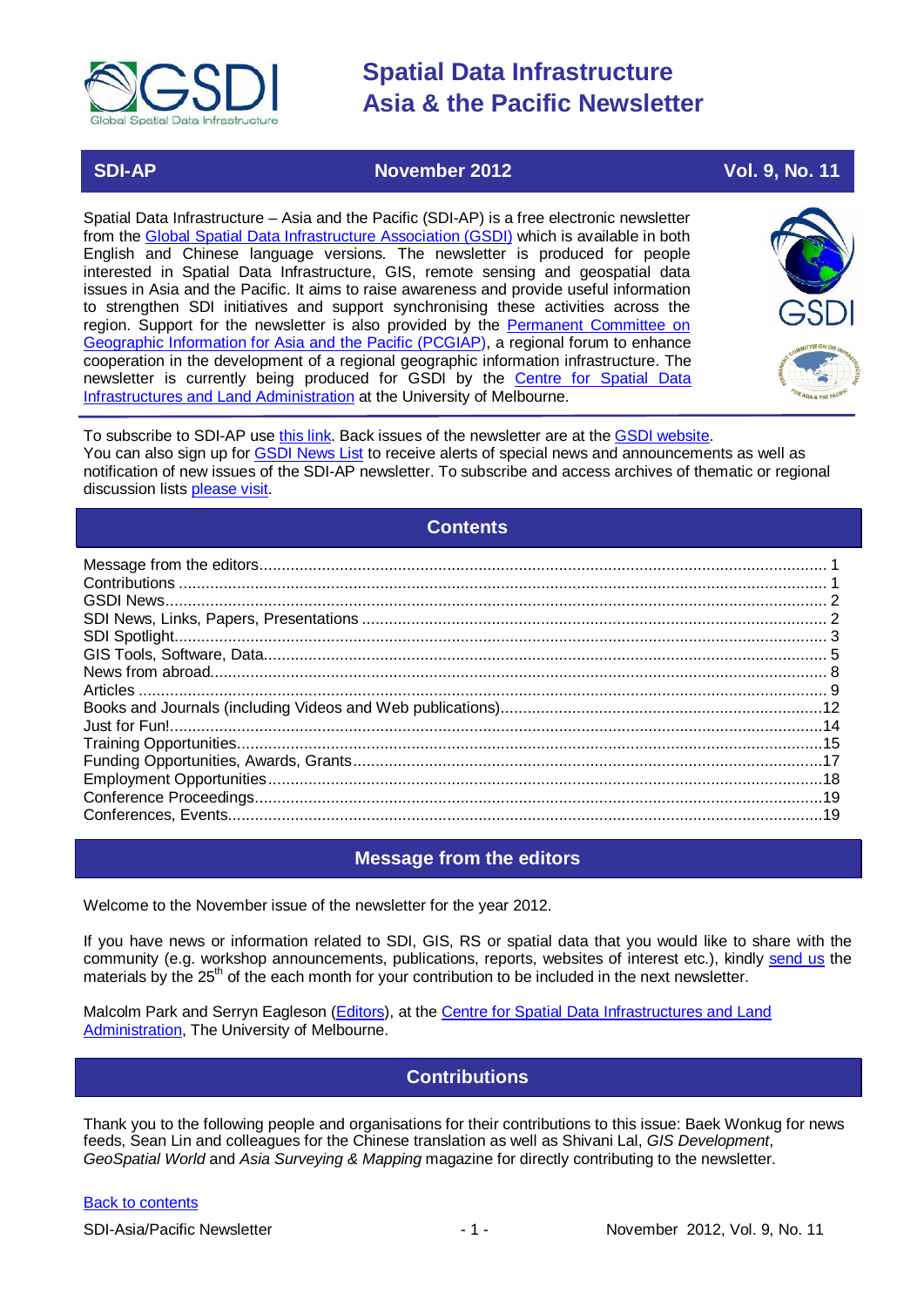

## **SDI-AP November 2012** Vol. 9, No. 11

Spatial Data Infrastructure – Asia and the Pacific (SDI-AP) is a free electronic newsletter from the [Global Spatial Data Infrastructure Association \(GSDI\)](http://www.gsdi.org/) which is available in both English and Chinese language versions. The newsletter is produced for people interested in Spatial Data Infrastructure, GIS, remote sensing and geospatial data issues in Asia and the Pacific. It aims to raise awareness and provide useful information to strengthen SDI initiatives and support synchronising these activities across the region. Support for the newsletter is also provided by the Permanent Committee on [Geographic Information for Asia and the Pacific \(PCGIAP\)](http://www.pcgiap.org/), a regional forum to enhance cooperation in the development of a regional geographic information infrastructure. The newsletter is currently being produced for GSDI by the [Centre for Spatial Data](http://www.csdila.unimelb.edu.au/)  [Infrastructures and Land Administration](http://www.csdila.unimelb.edu.au/) at the University of Melbourne.



To subscribe to SDI-AP use [this link.](http://www.gsdi.org/newslist/gsdisubscribe.asp) Back issues of the newsletter are at the [GSDI website.](http://www.gsdi.org/newsletters.asp) You can also sign up for [GSDI News List](http://www.gsdi.org/newslist/gsdisubscribe.asp) to receive alerts of special news and announcements as well as notification of new issues of the SDI-AP newsletter. To subscribe and access archives of thematic or regional discussion lists [please visit.](http://www.gsdi.org/discussionlists.asp)

## **Contents**

<span id="page-0-0"></span>

## **Message from the editors**

<span id="page-0-1"></span>Welcome to the November issue of the newsletter for the year 2012.

If you have news or information related to SDI, GIS, RS or spatial data that you would like to share with the community (e.g. workshop announcements, publications, reports, websites of interest etc.), kindly [send us](mailto:.SDI-AP@gsdi.org) the materials by the 25<sup>th</sup> of the each month for your contribution to be included in the next newsletter.

<span id="page-0-2"></span>Malcolm Park and Serryn Eagleson [\(Editors\)](mailto:Editor.SDIAP@gmail.com), at the [Centre for Spatial Data Infrastructures and Land](http://www.csdila.unimelb.edu.au/)  [Administration,](http://www.csdila.unimelb.edu.au/) The University of Melbourne.

## **Contributions**

Thank you to the following people and organisations for their contributions to this issue: Baek Wonkug for news feeds, Sean Lin and colleagues for the Chinese translation as well as Shivani Lal, *GIS Development*, *GeoSpatial World* and *Asia Surveying & Mapping* magazine for directly contributing to the newsletter.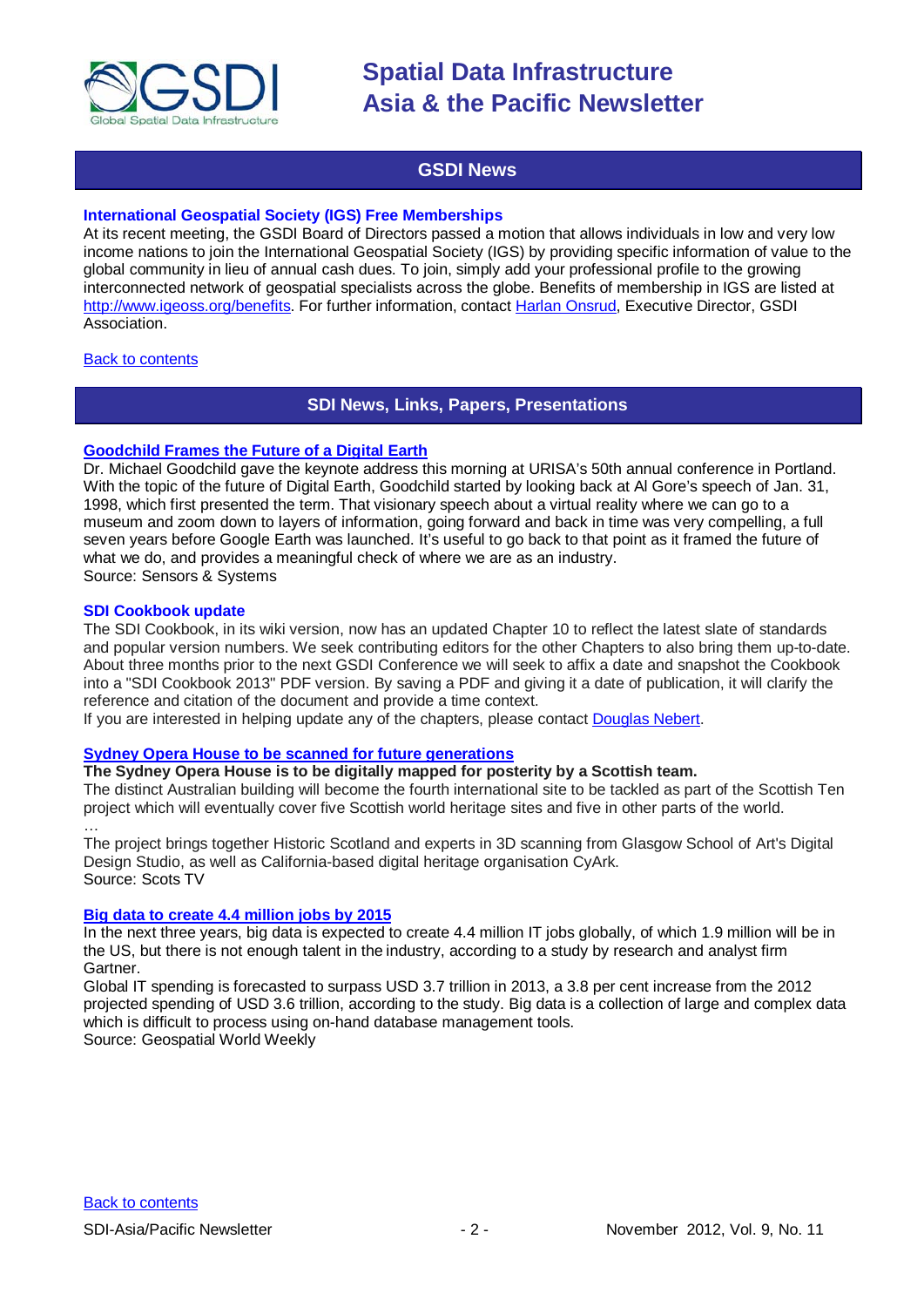

## **GSDI News**

### <span id="page-1-0"></span>**International Geospatial Society (IGS) Free Memberships**

At its recent meeting, the GSDI Board of Directors passed a motion that allows individuals in low and very low income nations to join the International Geospatial Society (IGS) by providing specific information of value to the global community in lieu of annual cash dues. To join, simply add your professional profile to the growing interconnected network of geospatial specialists across the globe. Benefits of membership in IGS are listed at [http://www.igeoss.org/benefits.](https://owa.unimelb.edu.au/owa/redir.aspx?C=54c2b4d3973d480282dc7c38384f4204&URL=http%3a%2f%2fwww.igeoss.org%2fbenefits) For further information, contact [Harlan Onsrud,](mailto:onsrud@gsdi.org) Executive Director, GSDI Association.

### <span id="page-1-1"></span>**[Back to contents](#page-0-0)**

## **SDI News, Links, Papers, Presentations**

### **[Goodchild Frames the Future of a Digital Earth](http://www.sensysmag.com/news/top-stories/79-event/28332-goodchild-frames-the-future-of-a-digital-earth.html)**

Dr. Michael Goodchild gave the keynote address this morning at URISA's 50th annual conference in Portland. With the topic of the future of Digital Earth, Goodchild started by looking back at Al Gore's speech of Jan. 31, 1998, which first presented the term. That visionary speech about a virtual reality where we can go to a museum and zoom down to layers of information, going forward and back in time was very compelling, a full seven years before Google Earth was launched. It's useful to go back to that point as it framed the future of what we do, and provides a meaningful check of where we are as an industry. Source: Sensors & Systems

### **SDI Cookbook update**

The SDI Cookbook, in its wiki version, now has an updated Chapter 10 to reflect the latest slate of standards and popular version numbers. We seek contributing editors for the other Chapters to also bring them up-to-date. About three months prior to the next GSDI Conference we will seek to affix a date and snapshot the Cookbook into a "SDI Cookbook 2013" PDF version. By saving a PDF and giving it a date of publication, it will clarify the reference and citation of the document and provide a time context.

If you are interested in helping update any of the chapters, please contact [Douglas Nebert.](mailto:ddnebert@usgs.gov)

### **[Sydney Opera House to be scanned for future generations](http://news.stv.tv/scotland/196055-sydney-opera-house-to-be-scanned-to-keep-it-for-future-generations/)**

### **The Sydney Opera House is to be digitally mapped for posterity by a Scottish team.**

The distinct Australian building will become the fourth international site to be tackled as part of the Scottish Ten project which will eventually cover five Scottish world heritage sites and five in other parts of the world. …

The project brings together Historic Scotland and experts in 3D scanning from Glasgow School of Art's Digital Design Studio, as well as California-based digital heritage organisation CyArk. Source: Scots TV

### **[Big data to create 4.4 million jobs by 2015](http://beta.geospatialworld.net/News/View.aspx?id=25738_Article)**

In the next three years, big data is expected to create 4.4 million IT jobs globally, of which 1.9 million will be in the US, but there is not enough talent in the industry, according to a study by research and analyst firm Gartner.

Global IT spending is forecasted to surpass USD 3.7 trillion in 2013, a 3.8 per cent increase from the 2012 projected spending of USD 3.6 trillion, according to the study. Big data is a collection of large and complex data which is difficult to process using on-hand database management tools. Source: Geospatial World Weekly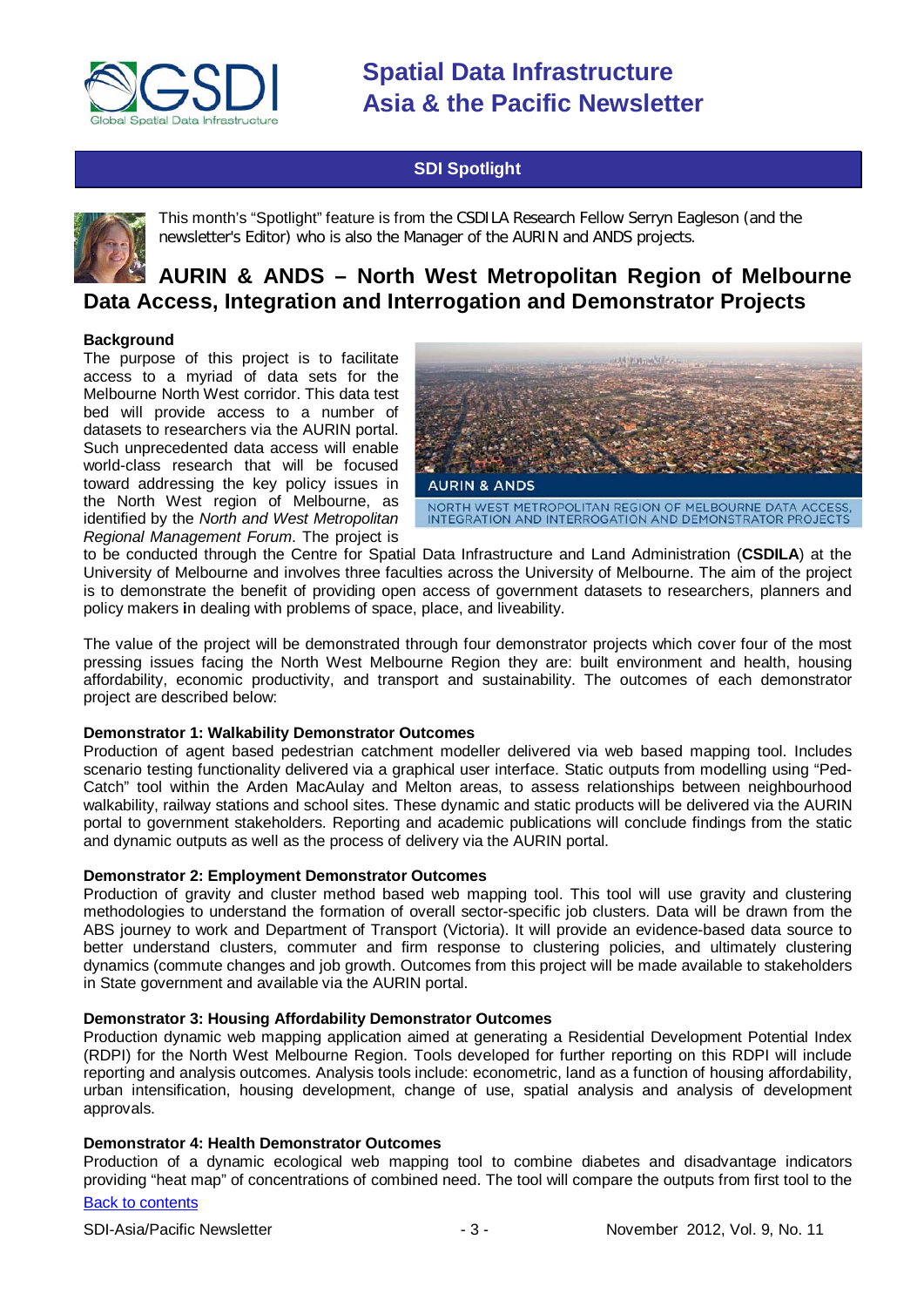

## **SDI Spotlight**

<span id="page-2-0"></span>

This month's "Spotlight" feature is from the CSDILA Research Fellow Serryn Eagleson (and the newsletter's Editor) who is also the Manager of the AURIN and ANDS projects.

# **AURIN & ANDS – North West Metropolitan Region of Melbourne Data Access, Integration and Interrogation and Demonstrator Projects**

### **Background**

The purpose of this project is to facilitate access to a myriad of data sets for the Melbourne North West corridor. This data test bed will provide access to a number of datasets to researchers via the AURIN portal. Such unprecedented data access will enable world-class research that will be focused toward addressing the key policy issues in the North West region of Melbourne, as identified by the *North and West Metropolitan Regional Management Forum*. The project is



to be conducted through the Centre for Spatial Data Infrastructure and Land Administration (**CSDILA**) at the University of Melbourne and involves three faculties across the University of Melbourne. The aim of the project is to demonstrate the benefit of providing open access of government datasets to researchers, planners and policy makers **i**n dealing with problems of space, place, and liveability.

The value of the project will be demonstrated through four demonstrator projects which cover four of the most pressing issues facing the North West Melbourne Region they are: built environment and health, housing affordability, economic productivity, and transport and sustainability. The outcomes of each demonstrator project are described below:

### **Demonstrator 1: Walkability Demonstrator Outcomes**

Production of agent based pedestrian catchment modeller delivered via web based mapping tool. Includes scenario testing functionality delivered via a graphical user interface. Static outputs from modelling using "Ped-Catch" tool within the Arden MacAulay and Melton areas, to assess relationships between neighbourhood walkability, railway stations and school sites. These dynamic and static products will be delivered via the AURIN portal to government stakeholders. Reporting and academic publications will conclude findings from the static and dynamic outputs as well as the process of delivery via the AURIN portal.

### **Demonstrator 2: Employment Demonstrator Outcomes**

Production of gravity and cluster method based web mapping tool. This tool will use gravity and clustering methodologies to understand the formation of overall sector-specific job clusters. Data will be drawn from the ABS journey to work and Department of Transport (Victoria). It will provide an evidence-based data source to better understand clusters, commuter and firm response to clustering policies, and ultimately clustering dynamics (commute changes and job growth. Outcomes from this project will be made available to stakeholders in State government and available via the AURIN portal.

### **Demonstrator 3: Housing Affordability Demonstrator Outcomes**

Production dynamic web mapping application aimed at generating a Residential Development Potential Index (RDPI) for the North West Melbourne Region. Tools developed for further reporting on this RDPI will include reporting and analysis outcomes. Analysis tools include: econometric, land as a function of housing affordability, urban intensification, housing development, change of use, spatial analysis and analysis of development approvals.

### **Demonstrator 4: Health Demonstrator Outcomes**

Production of a dynamic ecological web mapping tool to combine diabetes and disadvantage indicators providing "heat map" of concentrations of combined need. The tool will compare the outputs from first tool to the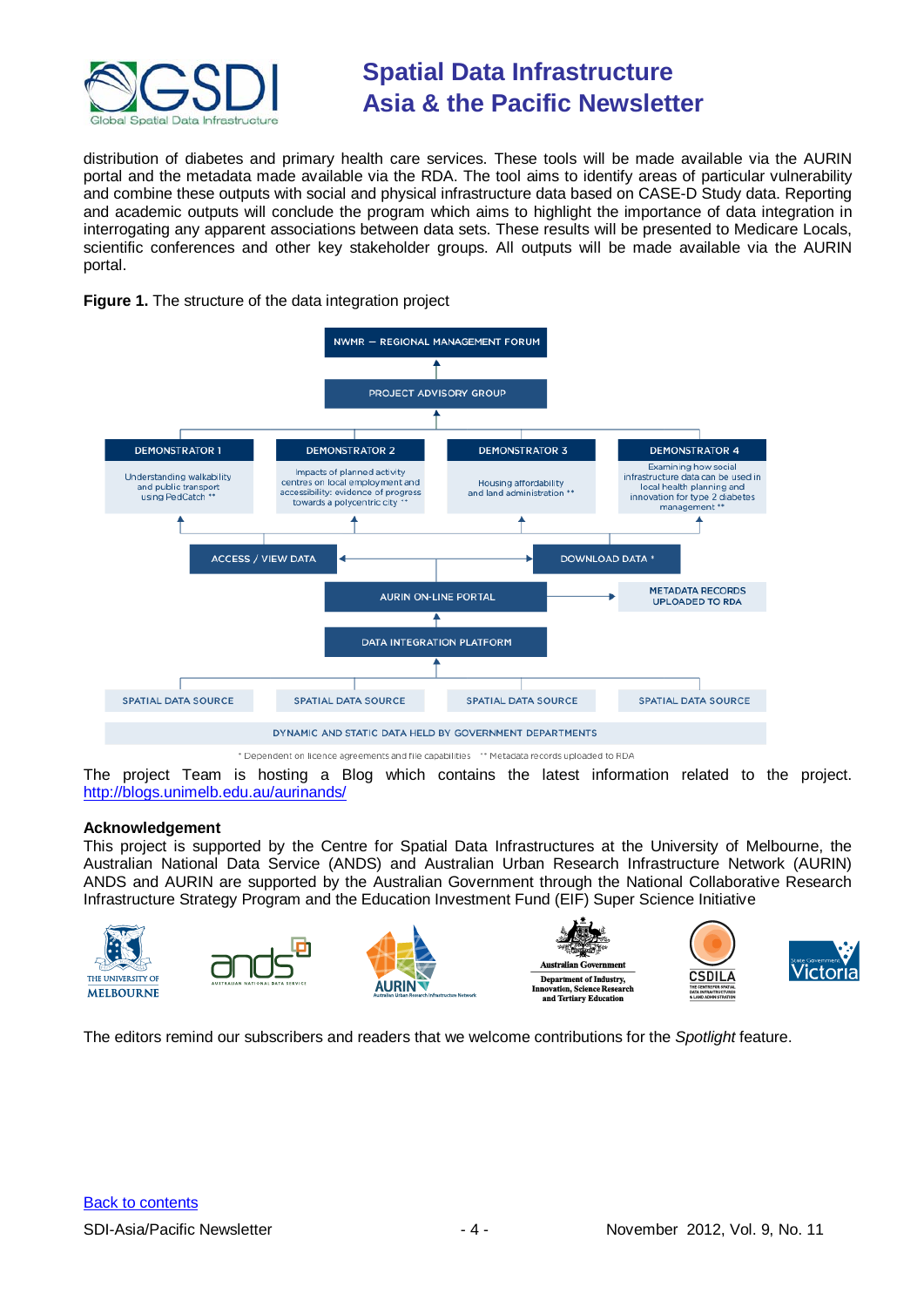

distribution of diabetes and primary health care services. These tools will be made available via the AURIN portal and the metadata made available via the RDA. The tool aims to identify areas of particular vulnerability and combine these outputs with social and physical infrastructure data based on CASE-D Study data. Reporting and academic outputs will conclude the program which aims to highlight the importance of data integration in interrogating any apparent associations between data sets. These results will be presented to Medicare Locals, scientific conferences and other key stakeholder groups. All outputs will be made available via the AURIN portal.





\* Dependent on licence agreements and file capabilities \*\* Metadata records uploaded to RDA

The project Team is hosting a Blog which contains the latest information related to the project. <http://blogs.unimelb.edu.au/aurinands/>

### **Acknowledgement**

This project is supported by the Centre for Spatial Data Infrastructures at the University of Melbourne, the Australian National Data Service (ANDS) and Australian Urban Research Infrastructure Network (AURIN) ANDS and AURIN are supported by the Australian Government through the National Collaborative Research Infrastructure Strategy Program and the Education Investment Fund (EIF) Super Science Initiative



<span id="page-3-0"></span>The editors remind our subscribers and readers that we welcome contributions for the *Spotlight* feature.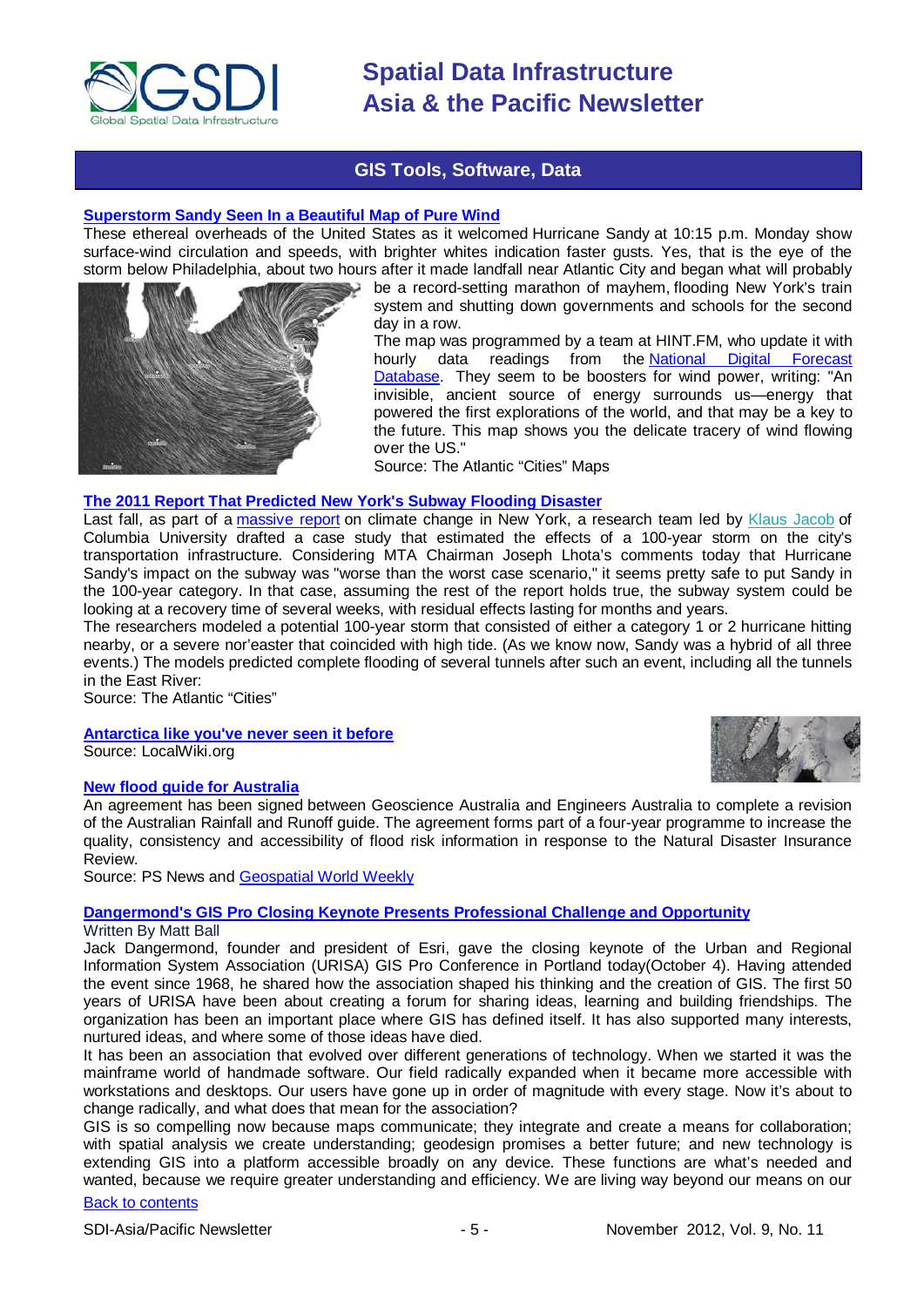

## **GIS Tools, Software, Data**

### **[Superstorm Sandy Seen In a Beautiful Map of Pure Wind](http://www.theatlanticcities.com/neighborhoods/2012/10/superstorm-sandy-seen-beautiful-map-pure-wind/3741/)**

These ethereal overheads of the United States as it welcomed Hurricane Sandy at 10:15 p.m. Monday show surface-wind circulation and speeds, with brighter whites indication faster gusts. Yes, that is the eye of the storm below Philadelphia, about two hours after it made landfall near Atlantic City and began what will probably



be a record-setting marathon of mayhem, flooding New York's train system and shutting down governments and schools for the second day in a row.

The map was programmed by a team at HINT.FM, who update it with hourly data readings from the National Digital Forecast [Database.](http://www.nws.noaa.gov/ndfd/) They seem to be boosters for wind power, writing: "An invisible, ancient source of energy surrounds us—energy that powered the first explorations of the world, and that may be a key to the future. This map shows you the delicate tracery of wind flowing over the US."

Source: The Atlantic "Cities" Maps

### **[The 2011 Report That Predicted New York's Subway Flooding Disaster](http://www.theatlanticcities.com/commute/2012/10/2011-report-predicted-new-yorks-subway-flooding-disaster/3748/)**

Last fall, as part of a [massive report](http://www.nyserda.ny.gov/Publications/Research-and-Development/Environmental/EMEP-Publications/Response-to-Climate-Change-in-New-York.aspx) on climate change in New York, a research team led by [Klaus Jacob](http://www.theatlantic.com/technology/archive/2012/10/the-article-that-predicted-the-new-york-subway-storm-surge-problem/264199/) of Columbia University drafted a case study that estimated the effects of a 100-year storm on the city's transportation infrastructure. Considering MTA Chairman Joseph Lhota's comments today that Hurricane Sandy's impact on the subway was "worse than the worst case scenario," it seems pretty safe to put Sandy in the 100-year category. In that case, assuming the rest of the report holds true, the subway system could be looking at a recovery time of several weeks, with residual effects lasting for months and years.

The researchers modeled a potential 100-year storm that consisted of either a category 1 or 2 hurricane hitting nearby, or a severe nor'easter that coincided with high tide. (As we know now, Sandy was a hybrid of all three events.) The models predicted complete flooding of several tunnels after such an event, including all the tunnels in the East River:

Source: The Atlantic "Cities"

**[Antarctica like you've never seen it before](http://localwiki.org/blog/2012/oct/10/localwiki-antarctica/)**

Source: LocalWiki.org

### **[New flood guide for Australia](http://www.psnews.com.au/Page_psn3335.html)**

An agreement has been signed between Geoscience Australia and Engineers Australia to complete a revision of the Australian Rainfall and Runoff guide. The agreement forms part of a four-year programme to increase the quality, consistency and accessibility of flood risk information in response to the Natural Disaster Insurance Review.

Source: PS News and [Geospatial World Weekly](http://beta.geospatialworld.net/News/View.aspx?ID=25681_Article)

### **Dangermond's [GIS Pro Closing Keynote Presents Professional Challenge and Opportunity](http://www.sensysmag.com/news/top-stories/79-event/28348-gis-pro-closing-keynote-presents-professional-challenge-and-opportunity.html)**

### Written By Matt Ball

Jack Dangermond, founder and president of Esri, gave the closing keynote of the Urban and Regional Information System Association (URISA) GIS Pro Conference in Portland today(October 4). Having attended the event since 1968, he shared how the association shaped his thinking and the creation of GIS. The first 50 years of URISA have been about creating a forum for sharing ideas, learning and building friendships. The organization has been an important place where GIS has defined itself. It has also supported many interests, nurtured ideas, and where some of those ideas have died.

It has been an association that evolved over different generations of technology. When we started it was the mainframe world of handmade software. Our field radically expanded when it became more accessible with workstations and desktops. Our users have gone up in order of magnitude with every stage. Now it's about to change radically, and what does that mean for the association?

GIS is so compelling now because maps communicate; they integrate and create a means for collaboration; with spatial analysis we create understanding; geodesign promises a better future; and new technology is extending GIS into a platform accessible broadly on any device. These functions are what's needed and wanted, because we require greater understanding and efficiency. We are living way beyond our means on our

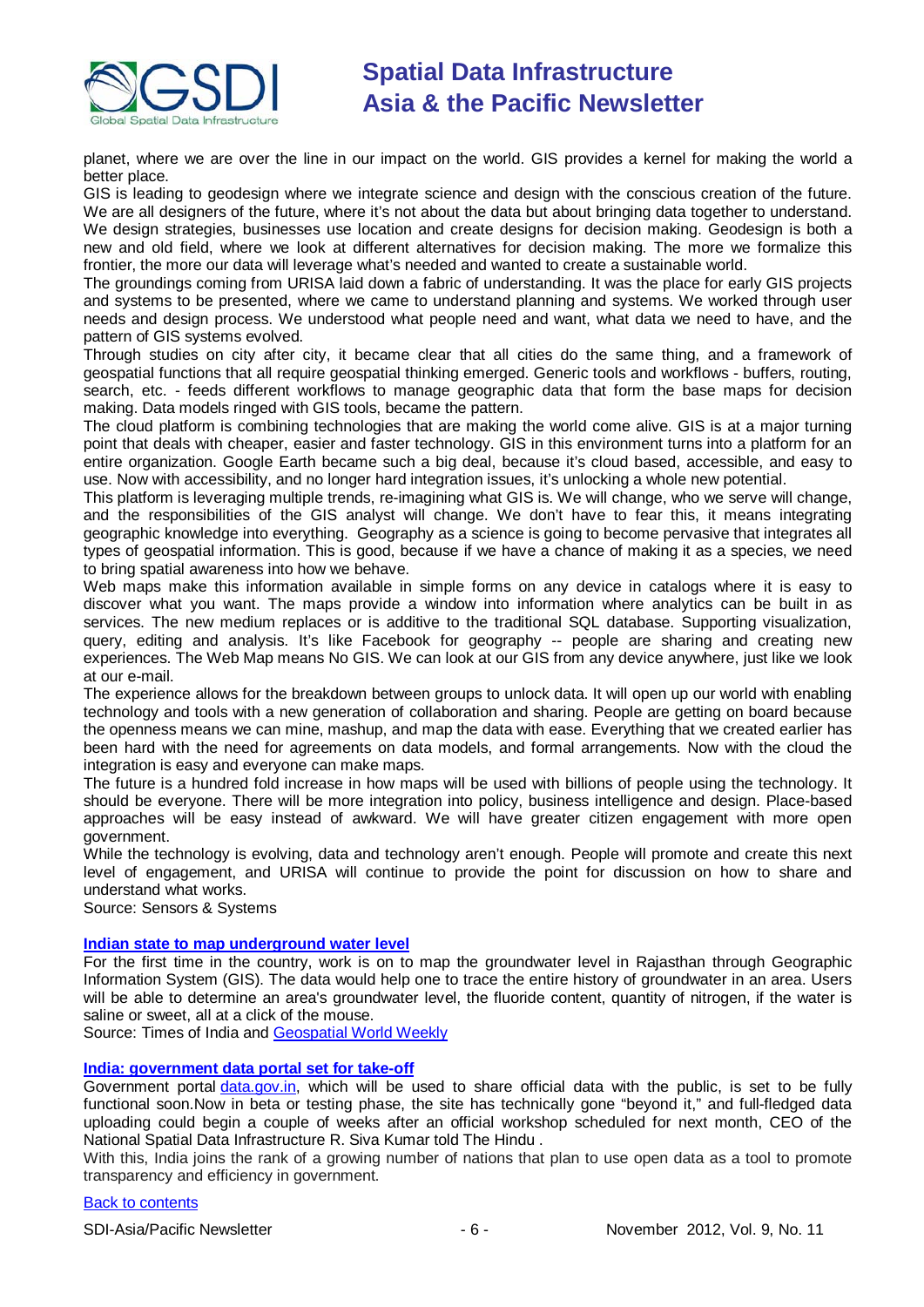

planet, where we are over the line in our impact on the world. GIS provides a kernel for making the world a better place.

GIS is leading to geodesign where we integrate science and design with the conscious creation of the future. We are all designers of the future, where it's not about the data but about bringing data together to understand. We design strategies, businesses use location and create designs for decision making. Geodesign is both a new and old field, where we look at different alternatives for decision making. The more we formalize this frontier, the more our data will leverage what's needed and wanted to create a sustainable world.

The groundings coming from URISA laid down a fabric of understanding. It was the place for early GIS projects and systems to be presented, where we came to understand planning and systems. We worked through user needs and design process. We understood what people need and want, what data we need to have, and the pattern of GIS systems evolved.

Through studies on city after city, it became clear that all cities do the same thing, and a framework of geospatial functions that all require geospatial thinking emerged. Generic tools and workflows - buffers, routing, search, etc. - feeds different workflows to manage geographic data that form the base maps for decision making. Data models ringed with GIS tools, became the pattern.

The cloud platform is combining technologies that are making the world come alive. GIS is at a major turning point that deals with cheaper, easier and faster technology. GIS in this environment turns into a platform for an entire organization. Google Earth became such a big deal, because it's cloud based, accessible, and easy to use. Now with accessibility, and no longer hard integration issues, it's unlocking a whole new potential.

This platform is leveraging multiple trends, re-imagining what GIS is. We will change, who we serve will change, and the responsibilities of the GIS analyst will change. We don't have to fear this, it means integrating geographic knowledge into everything. Geography as a science is going to become pervasive that integrates all types of geospatial information. This is good, because if we have a chance of making it as a species, we need to bring spatial awareness into how we behave.

Web maps make this information available in simple forms on any device in catalogs where it is easy to discover what you want. The maps provide a window into information where analytics can be built in as services. The new medium replaces or is additive to the traditional SQL database. Supporting visualization, query, editing and analysis. It's like Facebook for geography -- people are sharing and creating new experiences. The Web Map means No GIS. We can look at our GIS from any device anywhere, just like we look at our e-mail.

The experience allows for the breakdown between groups to unlock data. It will open up our world with enabling technology and tools with a new generation of collaboration and sharing. People are getting on board because the openness means we can mine, mashup, and map the data with ease. Everything that we created earlier has been hard with the need for agreements on data models, and formal arrangements. Now with the cloud the integration is easy and everyone can make maps.

The future is a hundred fold increase in how maps will be used with billions of people using the technology. It should be everyone. There will be more integration into policy, business intelligence and design. Place-based approaches will be easy instead of awkward. We will have greater citizen engagement with more open government.

While the technology is evolving, data and technology aren't enough. People will promote and create this next level of engagement, and URISA will continue to provide the point for discussion on how to share and understand what works.

Source: Sensors & Systems

### **[Indian state to map underground water level](http://articles.timesofindia.indiatimes.com/2012-10-07/jaipur/34306030_1_groundwater-level-gis-state-partnership-programme)**

For the first time in the country, work is on to map the groundwater level in Rajasthan through Geographic Information System (GIS). The data would help one to trace the entire history of groundwater in an area. Users will be able to determine an area's groundwater level, the fluoride content, quantity of nitrogen, if the water is saline or sweet, all at a click of the mouse.

Source: Times of India and [Geospatial World Weekly](http://beta.geospatialworld.net/News/View.aspx?ID=25664_Article)

### **[India: government data portal set for take-off](http://www.thehindu.com/todays-paper/tp-international/government-data-portal-set-for-takeoff/article3953078.ece)**

Government portal [data.gov.in,](http://data.gov.in/) which will be used to share official data with the public, is set to be fully functional soon.Now in beta or testing phase, the site has technically gone "beyond it," and full-fledged data uploading could begin a couple of weeks after an official workshop scheduled for next month, CEO of the National Spatial Data Infrastructure R. Siva Kumar told The Hindu .

With this, India joins the rank of a growing number of nations that plan to use open data as a tool to promote transparency and efficiency in government.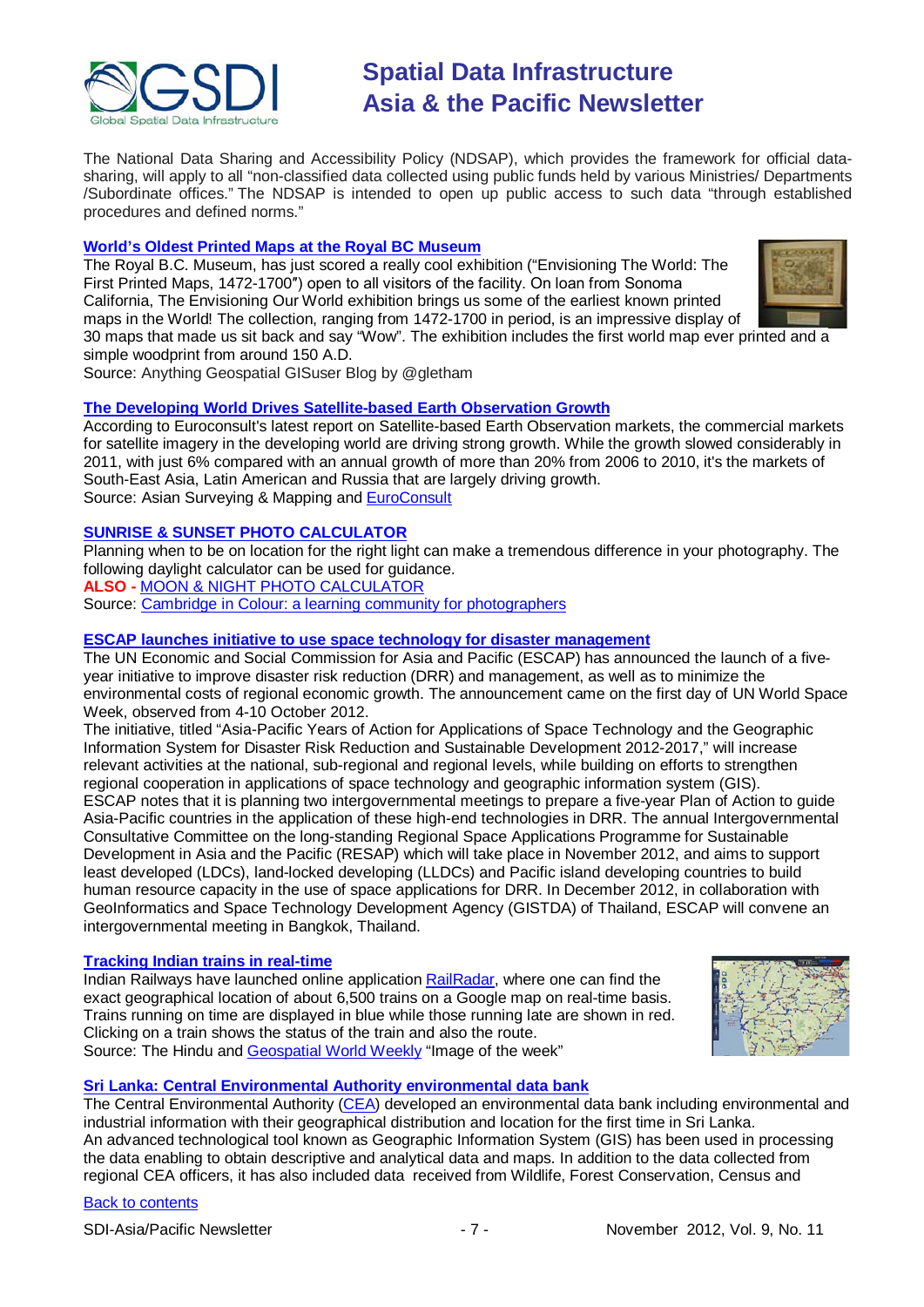

The National Data Sharing and Accessibility Policy (NDSAP), which provides the framework for official datasharing, will apply to all "non-classified data collected using public funds held by various Ministries/ Departments /Subordinate offices." The NDSAP is intended to open up public access to such data "through established procedures and defined norms."

### **World's Oldest Printed Maps at the Royal BC Museum**

The Royal B.C. Museum, has just scored a really cool exhibition ("Envisioning The World: The First Printed Maps, 1472-1700″) open to all visitors of the facility. On loan from Sonoma California, The Envisioning Our World exhibition brings us some of the earliest known printed maps in the World! The collection, ranging from 1472-1700 in period, is an impressive display of 30 maps that made us sit back and say "Wow". The exhibition includes the first world map ever printed and a simple woodprint from around 150 A.D.



Source: Anything Geospatial GISuser Blog by @gletham

### **[The Developing World Drives Satellite-based Earth Observation Growth](http://www.asmmag.com/201210184372/the-developing-world-drives-prospects-for-satellite-based-earth-observation-growth.html)**

According to Euroconsult's latest report on Satellite-based Earth Observation markets, the commercial markets for satellite imagery in the developing world are driving strong growth. While the growth slowed considerably in 2011, with just 6% compared with an annual growth of more than 20% from 2006 to 2010, it's the markets of South-East Asia, Latin American and Russia that are largely driving growth. Source: Asian Surveying & Mapping and [EuroConsult](http://earsc.org/news/earth-observation-commercial-data-market-remains-strong-despite-slowdown-in-2011)

### **[SUNRISE & SUNSET PHOTO CALCULATOR](http://www.cambridgeincolour.com/tutorials/sunrise-sunset-calculator.htm)**

Planning when to be on location for the right light can make a tremendous difference in your photography. The following daylight calculator can be used for guidance.

**ALSO -** [MOON & NIGHT PHOTO CALCULATOR](http://www.cambridgeincolour.com/tutorials/moon-night-calculator.htm)

Source: [Cambridge in Colour: a learning community for photographers](http://www.cambridgeincolour.com/)

### **[ESCAP launches initiative to use space technology for disaster management](http://www.unescap.org/unis/press/2012/oct/g45.asp)**

The UN Economic and Social Commission for Asia and Pacific (ESCAP) has announced the launch of a fiveyear initiative to improve disaster risk reduction (DRR) and management, as well as to minimize the environmental costs of regional economic growth. The announcement came on the first day of UN World Space Week, observed from 4-10 October 2012.

The initiative, titled "Asia-Pacific Years of Action for Applications of Space Technology and the Geographic Information System for Disaster Risk Reduction and Sustainable Development 2012-2017," will increase relevant activities at the national, sub-regional and regional levels, while building on efforts to strengthen regional cooperation in applications of space technology and geographic information system (GIS). ESCAP notes that it is planning two intergovernmental meetings to prepare a five-year Plan of Action to guide Asia-Pacific countries in the application of these high-end technologies in DRR. The annual Intergovernmental Consultative Committee on the long-standing Regional Space Applications Programme for Sustainable Development in Asia and the Pacific (RESAP) which will take place in November 2012, and aims to support least developed (LDCs), land-locked developing (LLDCs) and Pacific island developing countries to build human resource capacity in the use of space applications for DRR. In December 2012, in collaboration with GeoInformatics and Space Technology Development Agency (GISTDA) of Thailand, ESCAP will convene an intergovernmental meeting in Bangkok, Thailand.

### **[Tracking Indian trains in real-time](http://www.thehindubusinessline.com/industry-and-economy/logistics/article3987637.ece)**

Indian Railways have launched online applicatio[n RailRadar,](http://railradar.trainenquiry.com/) where one can find the exact geographical location of about 6,500 trains on a Google map on real-time basis. Trains running on time are displayed in blue while those running late are shown in red. Clicking on a train shows the status of the train and also the route. Source: The Hindu and [Geospatial World Weekly](http://beta.geospatialworld.net/ImageoftheWeek/View.aspx?id=102) "Image of the week"



### **[Sri Lanka: Central Environmental Authority environmental data bank](http://www.dailynews.lk/2012/10/26/news13.asp)**

The Central Environmental Authority [\(CEA\)](http://www.cea.lk/?) developed an environmental data bank including environmental and industrial information with their geographical distribution and location for the first time in Sri Lanka. An advanced technological tool known as Geographic Information System (GIS) has been used in processing the data enabling to obtain descriptive and analytical data and maps. In addition to the data collected from regional CEA officers, it has also included data received from Wildlife, Forest Conservation, Census and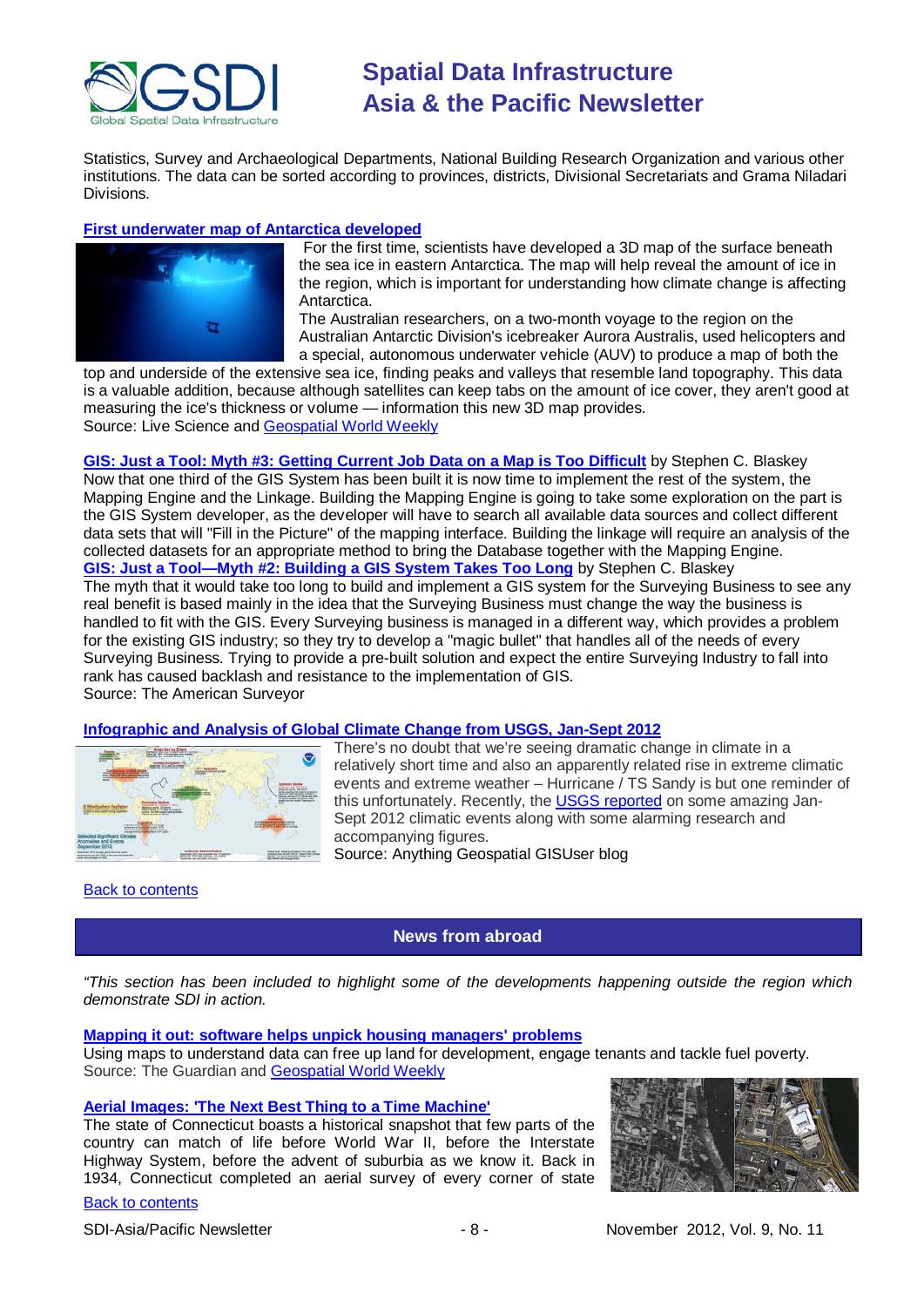

Statistics, Survey and Archaeological Departments, National Building Research Organization and various other institutions. The data can be sorted according to provinces, districts, Divisional Secretariats and Grama Niladari Divisions.

### **First [underwater map of Antarctica developed](http://www.livescience.com/23936-3d-antarctic-sea-ice-map.html?utm_source=feedburner&utm_medium=feed&utm_campaign=Feed%3A+Livesciencecom+(LiveScience.com+Science+Headline+Feed))**



For the first time, scientists have developed a 3D map of the surface beneath the sea ice in eastern Antarctica. The map will help reveal the amount of ice in the region, which is important for understanding how climate change is affecting Antarctica.

The Australian researchers, on a two-month voyage to the region on the Australian Antarctic Division's icebreaker Aurora Australis, used helicopters and a special, autonomous underwater vehicle (AUV) to produce a map of both the

top and underside of the extensive sea ice, finding peaks and valleys that resemble land topography. This data is a valuable addition, because although satellites can keep tabs on the amount of ice cover, they aren't good at measuring the ice's thickness or volume — information this new 3D map provides. Source: Live Science and [Geospatial World Weekly](http://beta.geospatialworld.net/News/View.aspx?ID=25703_Article)

**[GIS: Just a Tool: Myth #3: Getting Current Job Data on a Map is Too Difficult](http://www.amerisurv.com/content/view/10639/153/)** by Stephen C. Blaskey Now that one third of the GIS System has been built it is now time to implement the rest of the system, the Mapping Engine and the Linkage. Building the Mapping Engine is going to take some exploration on the part is the GIS System developer, as the developer will have to search all available data sources and collect different data sets that will "Fill in the Picture" of the mapping interface. Building the linkage will require an analysis of the collected datasets for an appropriate method to bring the Database together with the Mapping Engine. **[GIS: Just a Tool—Myth #2: Building a GIS System Takes Too Long](http://www.amerisurv.com/content/view/10441/153/)** by Stephen C. Blaskey The myth that it would take too long to build and implement a GIS system for the Surveying Business to see any real benefit is based mainly in the idea that the Surveying Business must change the way the business is handled to fit with the GIS. Every Surveying business is managed in a different way, which provides a problem for the existing GIS industry; so they try to develop a "magic bullet" that handles all of the needs of every Surveying Business. Trying to provide a pre-built solution and expect the entire Surveying Industry to fall into rank has caused backlash and resistance to the implementation of GIS. Source: The American Surveyor

### **Infographic [and Analysis of Global Climate Change from USGS, Jan-Sept 2012](http://blog.gisuser.com/2012/10/30/infographic-and-analysis-of-global-climate-change-from-usgs-jan-sept-2012/)**



There's no doubt that we're seeing dramatic change in climate in a relatively short time and also an apparently related rise in extreme climatic events and extreme weather – Hurricane / TS Sandy is but one reminder of this unfortunately. Recently, the USGS [reported](http://www.ncdc.noaa.gov/sotc/global/2012/9) on some amazing Jan-Sept 2012 climatic events along with some alarming research and accompanying figures. Source: Anything Geospatial GISUser blog

### <span id="page-7-0"></span>**[Back to contents](#page-0-0)**

## **News from abroad**

*"This section has been included to highlight some of the developments happening outside the region which demonstrate SDI in action.*

### **Mapping it out: software [helps unpick housing managers' problems](http://www.guardian.co.uk/housing-network/2012/oct/11/housing-associations-using-data-maps)**

Using maps to understand data can free up land for development, engage tenants and tackle fuel poverty. Source: The Guardian and [Geospatial World Weekly](http://beta.geospatialworld.net/newsletter/oct2212.htm)

### **[Aerial Images: 'The Next Best Thing to a Time Machine'](http://www.theatlanticcities.com/neighborhoods/2012/10/pre-sprawl-aerial-images-next-best-thing-time-machine/3612/)**

The state of Connecticut boasts a historical snapshot that few parts of the country can match of life before World War II, before the Interstate Highway System, before the advent of suburbia as we know it. Back in 1934, Connecticut completed an aerial survey of every corner of state

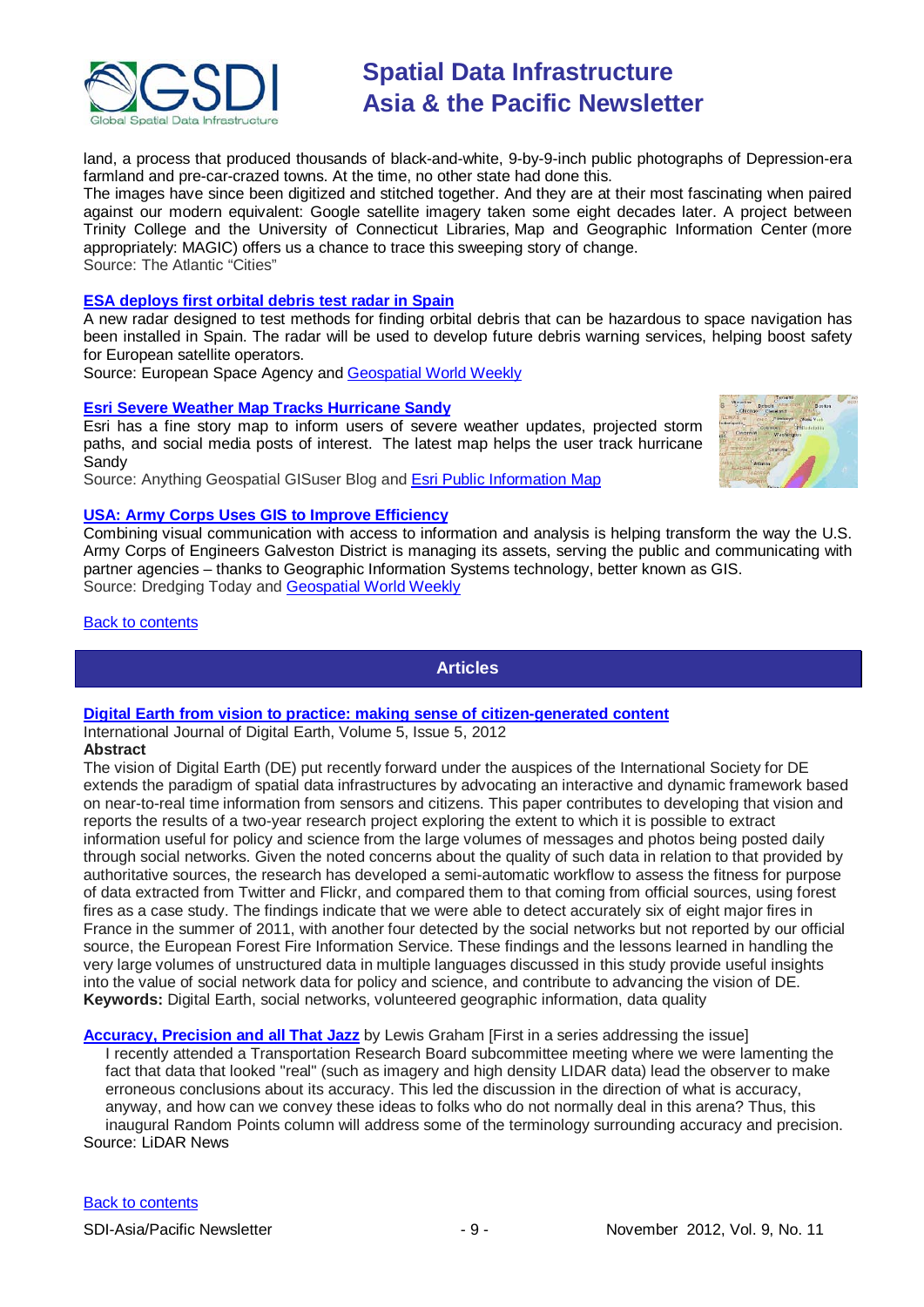

land, a process that produced thousands of black-and-white, 9-by-9-inch public photographs of Depression-era farmland and pre-car-crazed towns. At the time, no other state had done this.

The images have since been digitized and stitched together. And they are at their most fascinating when paired against our modern equivalent: Google satellite imagery taken some eight decades later. A project between Trinity College and the University of Connecticut Libraries, Map and Geographic Information Center (more appropriately: MAGIC) offers us a chance to trace this sweeping story of change. Source: The Atlantic "Cities"

### **[ESA deploys first orbital debris test radar in Spain](http://www.esa.int/esaCP/SEM2J93S18H_index_0.html)**

A new radar designed to test methods for finding orbital debris that can be hazardous to space navigation has been installed in Spain. The radar will be used to develop future debris warning services, helping boost safety for European satellite operators.

Source: European Space Agency and [Geospatial World Weekly](http://beta.geospatialworld.net/News/View.aspx?ID=25706_Article)

### **[Esri Severe Weather Map Tracks Hurricane Sandy](http://blog.gisuser.com/2012/10/25/esri-severe-weather-map-tracks-hurricane-sandy/)**

Esri has a fine story map to inform users of severe weather updates, projected storm paths, and social media posts of interest. The latest map helps the user track hurricane Sandy

Source: Anything Geospatial GISuser Blog and [Esri Public Information Map](http://www.esri.com/services/disaster-response/hurricanes/latest-news-map)

### **[USA: Army Corps Uses GIS to Improve Efficiency](http://www.dredgingtoday.com/2012/10/12/usa-army-corps-uses-gis-to-improve-efficiency/)**

Combining visual communication with access to information and analysis is helping transform the way the U.S. Army Corps of Engineers Galveston District is managing its assets, serving the public and communicating with partner agencies – thanks to Geographic Information Systems technology, better known as GIS. Source: Dredging Today and [Geospatial World Weekly](http://beta.geospatialworld.net/newsletter/oct2212.htm)

### <span id="page-8-0"></span>[Back to contents](#page-0-0)

### **Articles**

### **[Digital Earth from vision to practice: making sense of citizen-generated content](http://www.tandfonline.com/doi/full/10.1080/17538947.2012.712273)**

International Journal of Digital Earth, Volume 5, Issue 5, 2012 **Abstract**

The vision of Digital Earth (DE) put recently forward under the auspices of the International Society for DE extends the paradigm of spatial data infrastructures by advocating an interactive and dynamic framework based on near-to-real time information from sensors and citizens. This paper contributes to developing that vision and reports the results of a two-year research project exploring the extent to which it is possible to extract information useful for policy and science from the large volumes of messages and photos being posted daily through social networks. Given the noted concerns about the quality of such data in relation to that provided by authoritative sources, the research has developed a semi-automatic workflow to assess the fitness for purpose of data extracted from Twitter and Flickr, and compared them to that coming from official sources, using forest fires as a case study. The findings indicate that we were able to detect accurately six of eight major fires in France in the summer of 2011, with another four detected by the social networks but not reported by our official source, the European Forest Fire Information Service. These findings and the lessons learned in handling the very large volumes of unstructured data in multiple languages discussed in this study provide useful insights into the value of social network data for policy and science, and contribute to advancing the vision of DE. **Keywords:** Digital Earth, social networks, volunteered geographic information, data quality

**[Accuracy, Precision and all That Jazz](http://www.lidarnews.com/content/view/9229/136/)** by Lewis Graham [First in a series addressing the issue] I recently attended a Transportation Research Board subcommittee meeting where we were lamenting the fact that data that looked "real" (such as imagery and high density LIDAR data) lead the observer to make erroneous conclusions about its accuracy. This led the discussion in the direction of what is accuracy, anyway, and how can we convey these ideas to folks who do not normally deal in this arena? Thus, this inaugural Random Points column will address some of the terminology surrounding accuracy and precision. Source: LiDAR News

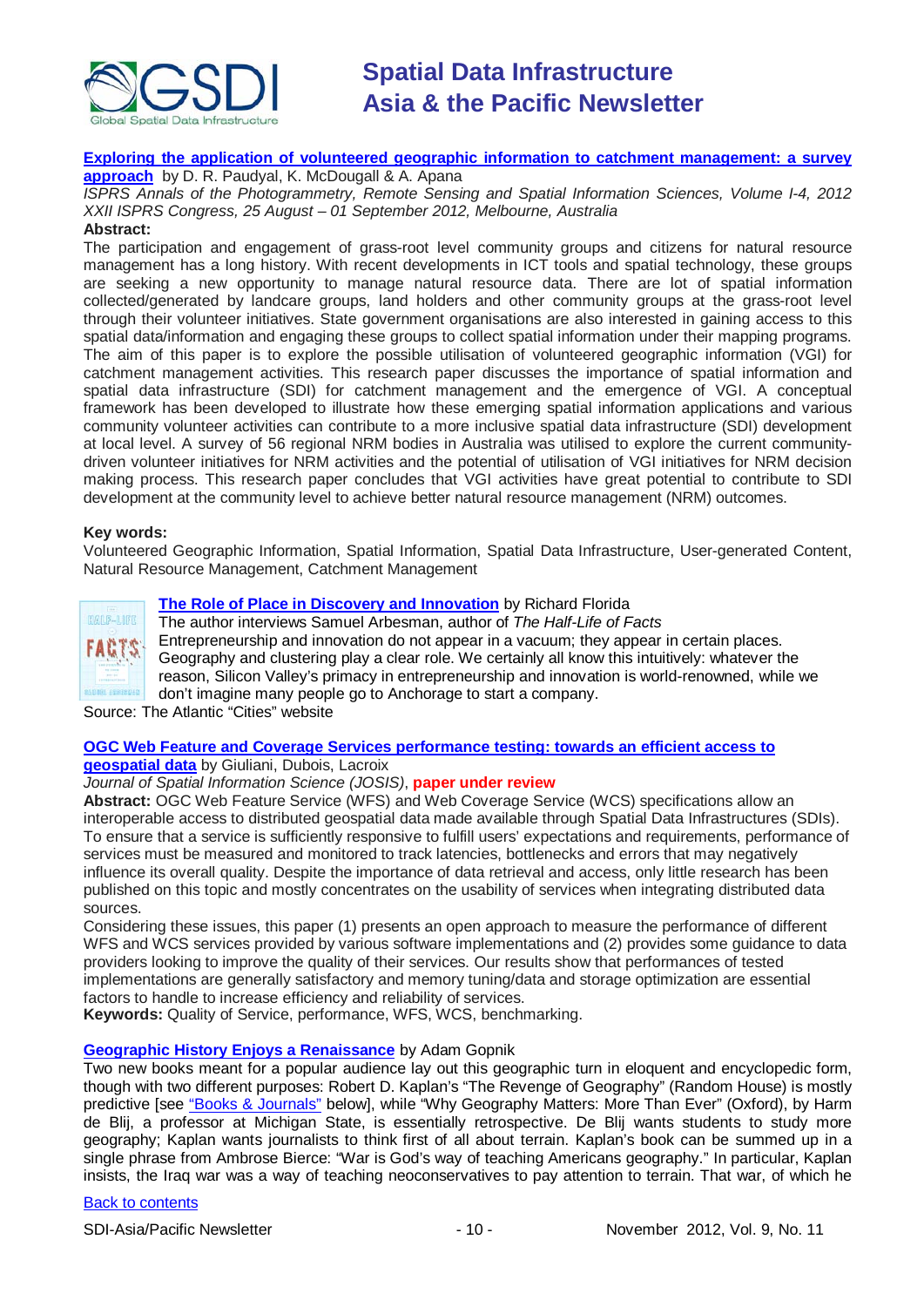

## **[Exploring the application of volunteered geographic information to catchment management: a survey](http://eprints.usq.edu.au/21633/2/Paudyal_McDougall_Apan_ISPRS_2012_PV.pdf)**

**[approach](http://eprints.usq.edu.au/21633/2/Paudyal_McDougall_Apan_ISPRS_2012_PV.pdf)** by D. R. Paudyal, K. McDougall & A. Apana

*ISPRS Annals of the Photogrammetry, Remote Sensing and Spatial Information Sciences, Volume I-4, 2012 XXII ISPRS Congress, 25 August – 01 September 2012, Melbourne, Australia*

### **Abstract:**

The participation and engagement of grass-root level community groups and citizens for natural resource management has a long history. With recent developments in ICT tools and spatial technology, these groups are seeking a new opportunity to manage natural resource data. There are lot of spatial information collected/generated by landcare groups, land holders and other community groups at the grass-root level through their volunteer initiatives. State government organisations are also interested in gaining access to this spatial data/information and engaging these groups to collect spatial information under their mapping programs. The aim of this paper is to explore the possible utilisation of volunteered geographic information (VGI) for catchment management activities. This research paper discusses the importance of spatial information and spatial data infrastructure (SDI) for catchment management and the emergence of VGI. A conceptual framework has been developed to illustrate how these emerging spatial information applications and various community volunteer activities can contribute to a more inclusive spatial data infrastructure (SDI) development at local level. A survey of 56 regional NRM bodies in Australia was utilised to explore the current communitydriven volunteer initiatives for NRM activities and the potential of utilisation of VGI initiatives for NRM decision making process. This research paper concludes that VGI activities have great potential to contribute to SDI development at the community level to achieve better natural resource management (NRM) outcomes.

### **Key words:**

Volunteered Geographic Information, Spatial Information, Spatial Data Infrastructure, User-generated Content, Natural Resource Management, Catchment Management



## **[The Role of Place in Discovery and Innovation](http://www.theatlanticcities.com/jobs-and-economy/2012/10/role-place-discovery-and-innovation/3535/)** by Richard Florida

The author interviews Samuel Arbesman, author of *The Half-Life of Facts* Entrepreneurship and innovation do not appear in a vacuum; they appear in certain places. Geography and clustering play a clear role. We certainly all know this intuitively: whatever the reason, Silicon Valley's primacy in entrepreneurship and innovation is world-renowned, while we don't imagine many people go to Anchorage to start a company.

Source: The Atlantic "Cities" website

## **[OGC Web Feature and Coverage Services performance testing: towards an efficient access to](http://josis.net/index.php/josis/article/view/112/84)**

**[geospatial data](http://josis.net/index.php/josis/article/view/112/84)** by Giuliani, Dubois, Lacroix

### *Journal of Spatial Information Science (JOSIS)*, **paper under review**

**Abstract:** OGC Web Feature Service (WFS) and Web Coverage Service (WCS) specifications allow an interoperable access to distributed geospatial data made available through Spatial Data Infrastructures (SDIs). To ensure that a service is sufficiently responsive to fulfill users' expectations and requirements, performance of services must be measured and monitored to track latencies, bottlenecks and errors that may negatively influence its overall quality. Despite the importance of data retrieval and access, only little research has been published on this topic and mostly concentrates on the usability of services when integrating distributed data sources.

Considering these issues, this paper (1) presents an open approach to measure the performance of different WFS and WCS services provided by various software implementations and (2) provides some guidance to data providers looking to improve the quality of their services. Our results show that performances of tested implementations are generally satisfactory and memory tuning/data and storage optimization are essential factors to handle to increase efficiency and reliability of services.

**Keywords:** Quality of Service, performance, WFS, WCS, benchmarking.

### **[Geographic History Enjoys a Renaissance](http://www.newyorker.com/arts/critics/atlarge/2012/10/29/121029crat_atlarge_gopnik)** by Adam Gopnik

Two new books meant for a popular audience lay out this geographic turn in eloquent and encyclopedic form, though with two different purposes: Robert D. Kaplan's "The Revenge of Geography" (Random House) is mostly predictive [see ["Books & Journals"](#page-11-0) below], while "Why Geography Matters: More Than Ever" (Oxford), by Harm de Blij, a professor at Michigan State, is essentially retrospective. De Blij wants students to study more geography; Kaplan wants journalists to think first of all about terrain. Kaplan's book can be summed up in a single phrase from Ambrose Bierce: "War is God's way of teaching Americans geography." In particular, Kaplan insists, the Iraq war was a way of teaching neoconservatives to pay attention to terrain. That war, of which he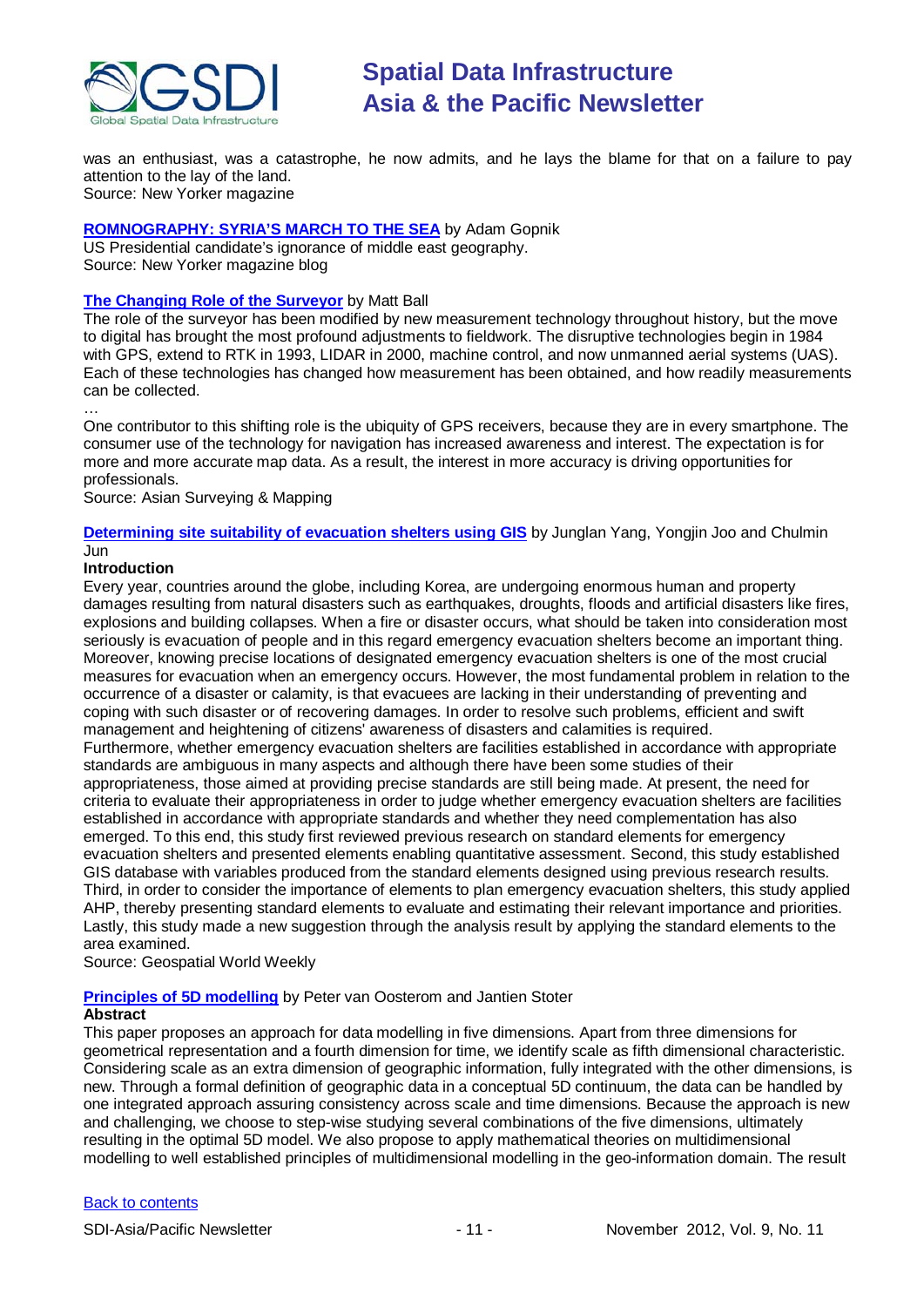

was an enthusiast, was a catastrophe, he now admits, and he lays the blame for that on a failure to pay attention to the lay of the land. Source: New Yorker magazine

### **[ROMNOGRAPHY: SYRIA'S MARCH TO THE SEA](http://www.newyorker.com/online/blogs/newsdesk/2012/10/romney-and-syrias-march-to-the-sea.html)** by Adam Gopnik

US Presidential candidate's ignorance of middle east geography. Source: New Yorker magazine blog

### **[The Changing Role of the Surveyor](http://www.asmmag.com/201210184370/the-changing-role-of-the-surveyor.html)** by Matt Ball

The role of the surveyor has been modified by new measurement technology throughout history, but the move to digital has brought the most profound adjustments to fieldwork. The disruptive technologies begin in 1984 with GPS, extend to RTK in 1993, LIDAR in 2000, machine control, and now unmanned aerial systems (UAS). Each of these technologies has changed how measurement has been obtained, and how readily measurements can be collected.

… One contributor to this shifting role is the ubiquity of GPS receivers, because they are in every smartphone. The consumer use of the technology for navigation has increased awareness and interest. The expectation is for more and more accurate map data. As a result, the interest in more accuracy is driving opportunities for professionals.

Source: Asian Surveying & Mapping

**Determining site suitability of evacuation shelters using GIS** by Junglan Yang, Yongjin Joo and Chulmin Jun

### **Introduction**

Every year, countries around the globe, including Korea, are undergoing enormous human and property damages resulting from natural disasters such as earthquakes, droughts, floods and artificial disasters like fires, explosions and building collapses. When a fire or disaster occurs, what should be taken into consideration most seriously is evacuation of people and in this regard emergency evacuation shelters become an important thing. Moreover, knowing precise locations of designated emergency evacuation shelters is one of the most crucial measures for evacuation when an emergency occurs. However, the most fundamental problem in relation to the occurrence of a disaster or calamity, is that evacuees are lacking in their understanding of preventing and coping with such disaster or of recovering damages. In order to resolve such problems, efficient and swift management and heightening of citizens' awareness of disasters and calamities is required. Furthermore, whether emergency evacuation shelters are facilities established in accordance with appropriate standards are ambiguous in many aspects and although there have been some studies of their appropriateness, those aimed at providing precise standards are still being made. At present, the need for criteria to evaluate their appropriateness in order to judge whether emergency evacuation shelters are facilities established in accordance with appropriate standards and whether they need complementation has also emerged. To this end, this study first reviewed previous research on standard elements for emergency evacuation shelters and presented elements enabling quantitative assessment. Second, this study established GIS database with variables produced from the standard elements designed using previous research results. Third, in order to consider the importance of elements to plan emergency evacuation shelters, this study applied AHP, thereby presenting standard elements to evaluate and estimating their relevant importance and priorities. Lastly, this study made a new suggestion through the analysis result by applying the standard elements to the area examined.

Source: Geospatial World Weekly

### **[Principles of 5D modelling](http://beta.geospatialworld.net/Paper/Technology/ArticleView.aspx?aid=30344)** by Peter van Oosterom and Jantien Stoter

### **Abstract**

This paper proposes an approach for data modelling in five dimensions. Apart from three dimensions for geometrical representation and a fourth dimension for time, we identify scale as fifth dimensional characteristic. Considering scale as an extra dimension of geographic information, fully integrated with the other dimensions, is new. Through a formal definition of geographic data in a conceptual 5D continuum, the data can be handled by one integrated approach assuring consistency across scale and time dimensions. Because the approach is new and challenging, we choose to step-wise studying several combinations of the five dimensions, ultimately resulting in the optimal 5D model. We also propose to apply mathematical theories on multidimensional modelling to well established principles of multidimensional modelling in the geo-information domain. The result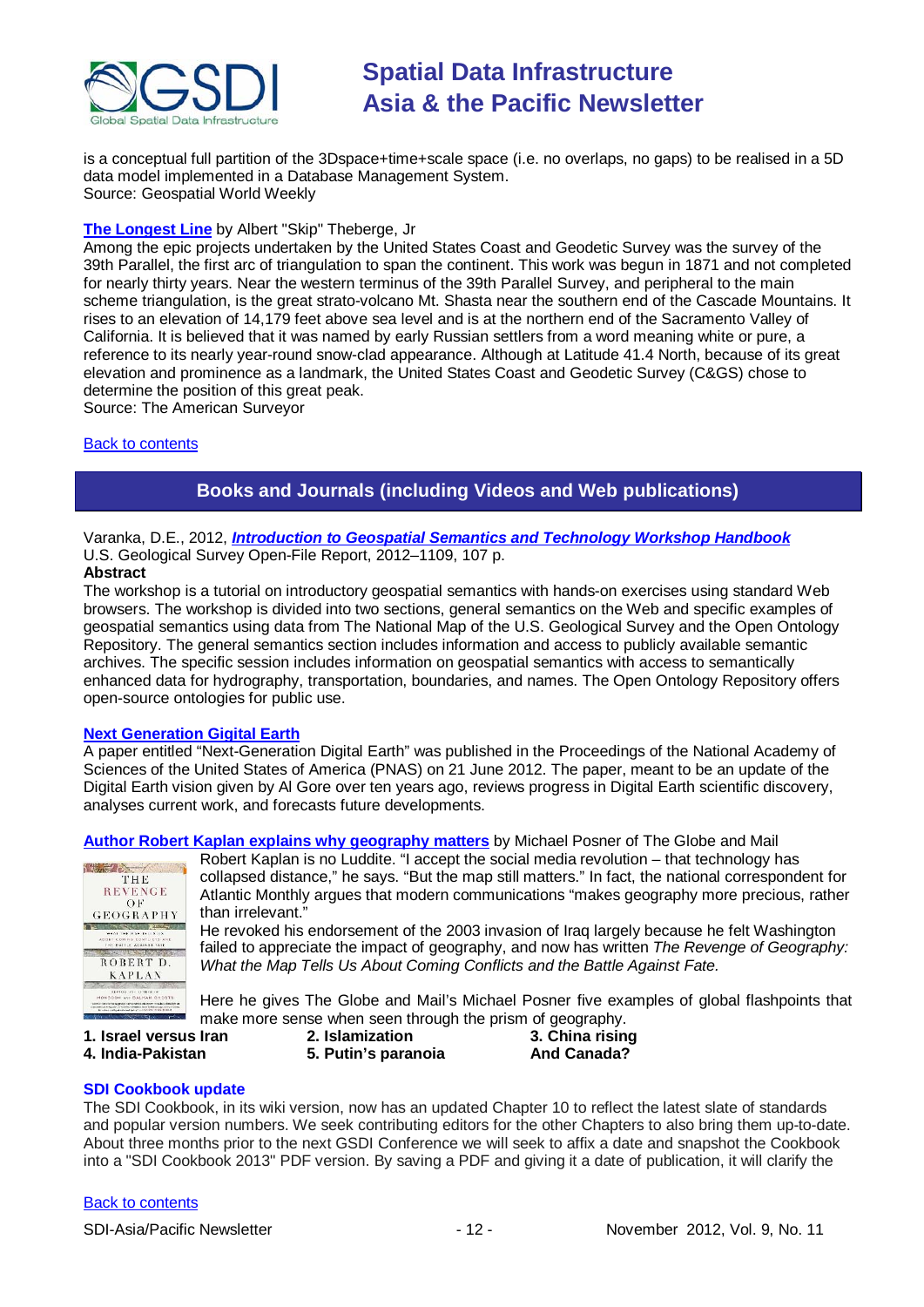

is a conceptual full partition of the 3Dspace+time+scale space (i.e. no overlaps, no gaps) to be realised in a 5D data model implemented in a Database Management System. Source: Geospatial World Weekly

### **[The Longest Line](http://www.amerisurv.com/content/view/10642/153/)** by Albert "Skip" Theberge, Jr

Among the epic projects undertaken by the United States Coast and Geodetic Survey was the survey of the 39th Parallel, the first arc of triangulation to span the continent. This work was begun in 1871 and not completed for nearly thirty years. Near the western terminus of the 39th Parallel Survey, and peripheral to the main scheme triangulation, is the great strato-volcano Mt. Shasta near the southern end of the Cascade Mountains. It rises to an elevation of 14,179 feet above sea level and is at the northern end of the Sacramento Valley of California. It is believed that it was named by early Russian settlers from a word meaning white or pure, a reference to its nearly year-round snow-clad appearance. Although at Latitude 41.4 North, because of its great elevation and prominence as a landmark, the United States Coast and Geodetic Survey (C&GS) chose to determine the position of this great peak.

Source: The American Surveyor

### <span id="page-11-0"></span>[Back to contents](#page-0-0)

# **Books and Journals (including Videos and Web publications)**

Varanka, D.E., 2012, *[Introduction to Geospatial Semantics and Technology Workshop Handbook](http://pubs.usgs.gov/of/2012/1109/)* U.S. Geological Survey Open-File Report, 2012–1109, 107 p.

## **Abstract**

The workshop is a tutorial on introductory geospatial semantics with hands-on exercises using standard Web browsers. The workshop is divided into two sections, general semantics on the Web and specific examples of geospatial semantics using data from The National Map of the U.S. Geological Survey and the Open Ontology Repository. The general semantics section includes information and access to publicly available semantic archives. The specific session includes information on geospatial semantics with access to semantically enhanced data for hydrography, transportation, boundaries, and names. The Open Ontology Repository offers open-source ontologies for public use.

### **[Next Generation Gigital Earth](http://www.pnas.org/content/early/2012/06/20/1202383109.full.pdf+html)**

A paper entitled "Next-Generation Digital Earth" was published in the Proceedings of the National Academy of Sciences of the United States of America (PNAS) on 21 June 2012. The paper, meant to be an update of the Digital Earth vision given by Al Gore over ten years ago, reviews progress in Digital Earth scientific discovery, analyses current work, and forecasts future developments.

**[Author Robert Kaplan explains why geography matters](http://www.theglobeandmail.com/news/world/author-robert-kaplan-explains-why-geography-matters/article4593404/?cmpid=rss1)** by Michael Posner of The Globe and Mail



Robert Kaplan is no Luddite. "I accept the social media revolution – that technology has collapsed distance," he says. "But the map still matters." In fact, the national correspondent for Atlantic Monthly argues that modern communications "makes geography more precious, rather than irrelevant."

He revoked his endorsement of the 2003 invasion of Iraq largely because he felt Washington failed to appreciate the impact of geography, and now has written *The Revenge of Geography: What the Map Tells Us About Coming Conflicts and the Battle Against Fate.*

Here he gives The Globe and Mail's Michael Posner five examples of global flashpoints that make more sense when seen through the prism of geography.<br>**Iran** 2. Islamization 3. China rising

**5.** Putin's paranoia

**1. Israel versus Iran 2. Islamization 3. China rising**

### **SDI Cookbook update**

The SDI Cookbook, in its wiki version, now has an updated Chapter 10 to reflect the latest slate of standards and popular version numbers. We seek contributing editors for the other Chapters to also bring them up-to-date. About three months prior to the next GSDI Conference we will seek to affix a date and snapshot the Cookbook into a "SDI Cookbook 2013" PDF version. By saving a PDF and giving it a date of publication, it will clarify the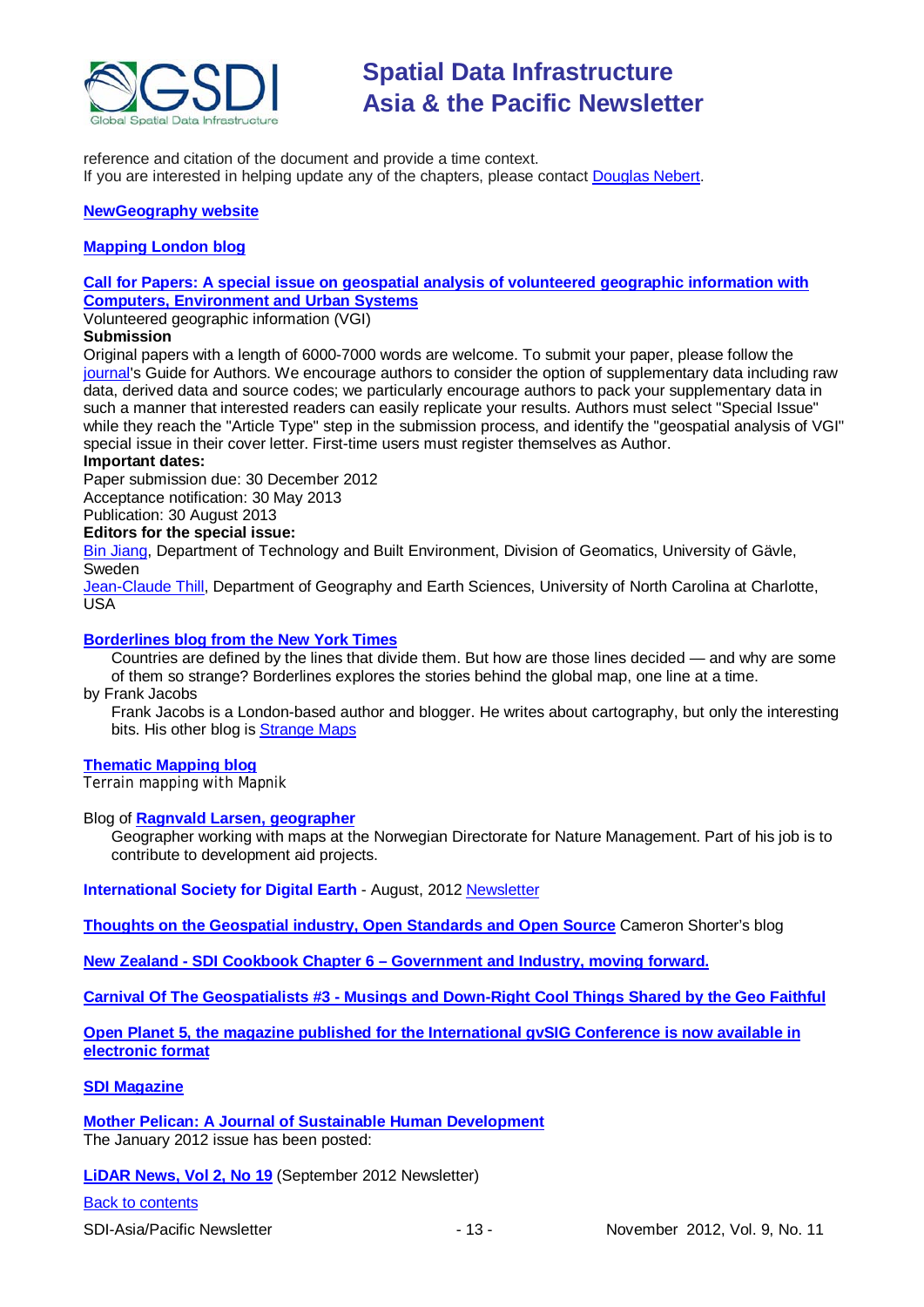

reference and citation of the document and provide a time context. If you are interested in helping update any of the chapters, please contact [Douglas Nebert.](mailto:ddnebert@usgs.gov)

### **[NewGeography website](http://www.newgeography.com/)**

### **[Mapping London blog](http://mappinglondon.co.uk/)**

### **[Call for Papers: A special issue on geospatial analysis of volunteered geographic information with](http://www.journals.elsevier.com/computers-environment-and-urban-systems/call-for-papers/call-for-papers-a-special-issue-on-geospatial/)  [Computers, Environment and Urban Systems](http://www.journals.elsevier.com/computers-environment-and-urban-systems/call-for-papers/call-for-papers-a-special-issue-on-geospatial/)**

Volunteered geographic information (VGI)

### **Submission**

Original papers with a length of 6000-7000 words are welcome. To submit your paper, please follow the [journal's](http://ees.elsevier.com/ceus/) Guide for Authors. We encourage authors to consider the option of supplementary data including raw data, derived data and source codes; we particularly encourage authors to pack your supplementary data in such a manner that interested readers can easily replicate your results. Authors must select "Special Issue" while they reach the "Article Type" step in the submission process, and identify the "geospatial analysis of VGI" special issue in their cover letter. First-time users must register themselves as Author.

### **Important dates:**

Paper submission due: 30 December 2012 Acceptance notification: 30 May 2013 Publication: 30 August 2013

# **Editors for the special issue:**

[Bin Jiang,](mailto:bin.jiang@hig.se) Department of Technology and Built Environment, Division of Geomatics, University of Gävle, Sweden

[Jean-Claude Thill,](mailto:Jean-Claude.Thill@uncc.edu) Department of Geography and Earth Sciences, University of North Carolina at Charlotte, USA

### **[Borderlines blog from the New York Times](http://opinionator.blogs.nytimes.com/category/borderlines/)**

Countries are defined by the lines that divide them. But how are those lines decided — and why are some of them so strange? Borderlines explores the stories behind the global map, one line at a time.

### by Frank Jacobs

Frank Jacobs is a London-based author and blogger. He writes about cartography, but only the interesting bits. His other blog is [Strange Maps](http://bigthink.com/blogs/strange-maps)

### **[Thematic Mapping blog](http://blog.thematicmapping.org/)**

Terrain mapping with Mapnik

### Blog of **[Ragnvald Larsen, geographer](http://www.mindland.com/wp/)**

Geographer working with maps at the Norwegian Directorate for Nature Management. Part of his job is to contribute to development aid projects.

**International Society for Digital Earth - August, 2012 [Newsletter](http://www.digitalearth-isde.org/news/isde-newsletter(201208).html)** 

**[Thoughts on the Geospatial industry, Open Standards and Open Source](http://cameronshorter.blogspot.com/2011/06/memoirs-of-cat-herder-coordinating.html)** Cameron Shorter's blog

**New Zealand - SDI Cookbook Chapter 6 – [Government and Industry, moving forward.](http://www.geospatial.govt.nz/sdi-cookbook-chapter-6-government-and-industry-moving-forward)**

**Carnival Of The Geospatialists #3 - [Musings and Down-Right Cool Things Shared by the Geo Faithful](http://www.gisuser.com/content/view/25690/28/)**

**[Open Planet 5, the magazine published for the International gvSIG](http://jornadas.gvsig.org/descargas/magazine) Conference is now available in [electronic format](http://jornadas.gvsig.org/descargas/magazine)**

### **[SDI Magazine](http://www.sdimag.com/)**

**[Mother Pelican: A Journal of Sustainable Human Development](http://www.pelicanweb.org/solisustv08n01page1.html)** The January 2012 issue has been posted:

**[LiDAR News, Vol 2, No 19](http://www.lidarnews.com/newsletter/Vol2No19.htm)** (September 2012 Newsletter)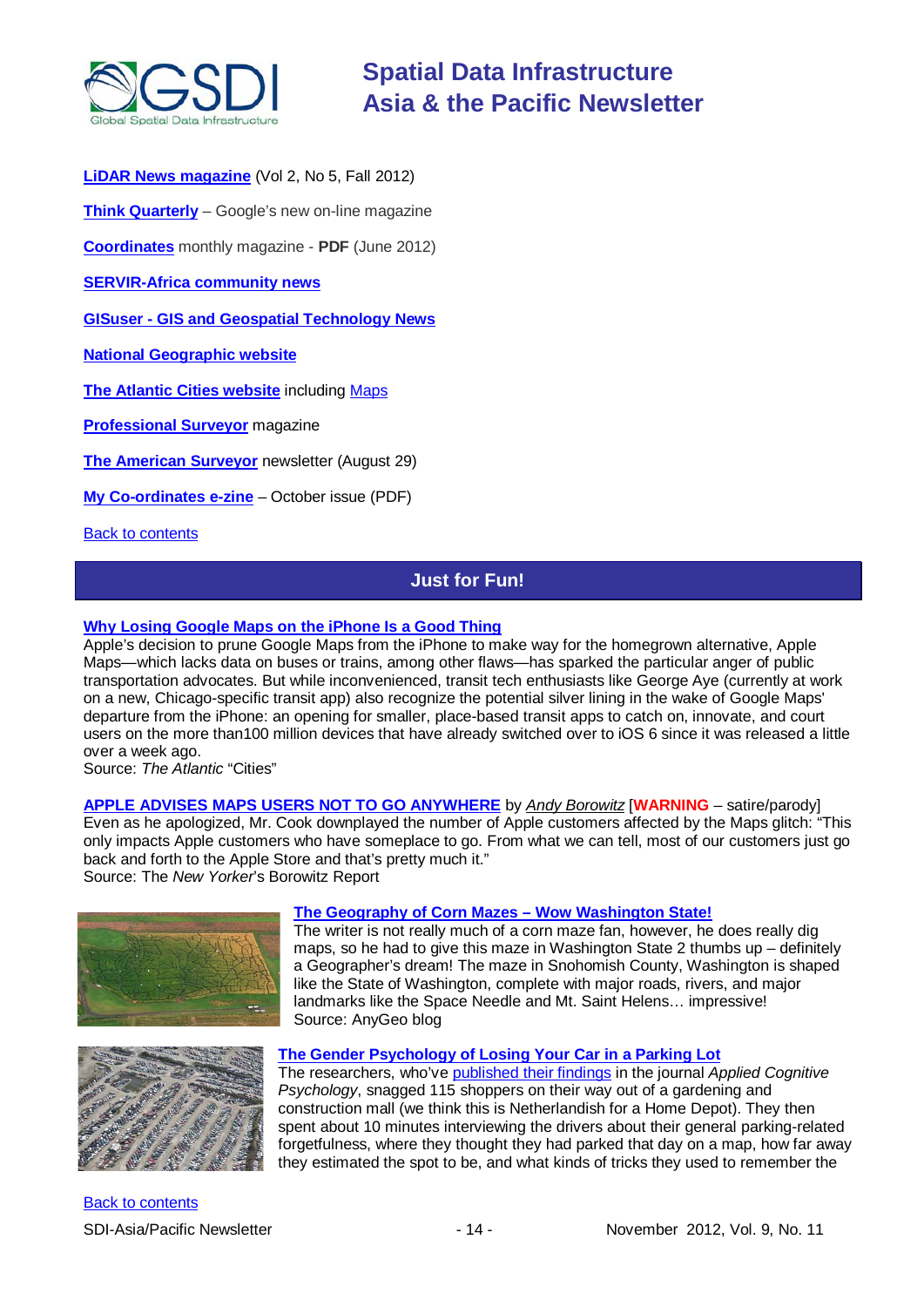

**[LiDAR News magazine](http://lidarnews.com/emag/2012/vol2no5/index.html)** (Vol 2, No 5, Fall 2012)

**[Think Quarterly](http://thinkquarterly.co.uk/#aboutthebook)** – Google's new on-line magazine

**[Coordinates](http://mycoordinates.org/pdf/jun12.pdf)** monthly magazine - **PDF** (June 2012)

**[SERVIR-Africa community news](http://www.servirglobal.net/africa/en/News/CommunityNews.aspx)**

**GISuser - [GIS and Geospatial Technology News](http://www.gisuser.com/)**

**[National Geographic website](http://www.nationalgeographic.com/)**

**[The Atlantic Cities website](http://www.theatlanticcities.com/)** including [Maps](http://www.theatlanticcities.com/posts/map/)

**[Professional Surveyor](http://www.profsurv.com/)** magazine

**[The American Surveyor](http://www.amerisurv.com/newsletter/29AUG2012.htm)** newsletter (August 29)

**[My Co-ordinates e-zine](http://mycoordinates.org/pdf/oct12.pdf)** – October issue (PDF)

<span id="page-13-0"></span>**[Back to contents](#page-0-0)** 

# **Just for Fun!**

### **[Why Losing Google Maps on the iPhone Is a Good Thing](http://www.theatlanticcities.com/technology/2012/10/why-losing-google-maps-iphone-good-thing/3466/)**

Apple's decision to prune Google Maps from the iPhone to make way for the homegrown alternative, Apple Maps—which lacks data on buses or trains, among other flaws—has sparked the particular anger of public transportation advocates. But while inconvenienced, transit tech enthusiasts like George Aye (currently at work on a new, Chicago-specific transit app) also recognize the potential silver lining in the wake of Google Maps' departure from the iPhone: an opening for smaller, place-based transit apps to catch on, innovate, and court users on the more than100 million devices that have already switched over to iOS 6 since it was released a little over a week ago.

Source: *The Atlantic* "Cities"

**[APPLE ADVISES MAPS USERS NOT TO GO ANYWHERE](http://www.newyorker.com/online/blogs/borowitzreport/2012/09/apple-advises-maps-users-not-to-go-anywhere.html)** by *[Andy Borowitz](http://www.newyorker.com/magazine/bios/andy_borowitz/search?contributorName=Andy%20Borowitz)* [**WARNING** – satire/parody] Even as he apologized, Mr. Cook downplayed the number of Apple customers affected by the Maps glitch: "This only impacts Apple customers who have someplace to go. From what we can tell, most of our customers just go back and forth to the Apple Store and that's pretty much it." Source: The *New Yorker*'s Borowitz Report



### **[The Geography of Corn Mazes –](http://blog.gisuser.com/2012/10/18/the-geography-of-corn-mazes-wow-washington-state/) Wow Washington State!**

The writer is not really much of a corn maze fan, however, he does really dig maps, so he had to give this maze in Washington State 2 thumbs up – definitely a Geographer's dream! The maze in Snohomish County, Washington is shaped like the State of Washington, complete with major roads, rivers, and major landmarks like the Space Needle and Mt. Saint Helens… impressive! Source: AnyGeo blog



### **[The Gender Psychology of Losing Your Car in a Parking Lot](http://www.theatlanticcities.com/commute/2012/10/gender-psychology-losing-your-car-parking-lot/3675/)**

The researchers, who've [published their findings](http://onlinelibrary.wiley.com/doi/10.1002/acp.2844/abstract) in the journal *Applied Cognitive Psychology*, snagged 115 shoppers on their way out of a gardening and construction mall (we think this is Netherlandish for a Home Depot). They then spent about 10 minutes interviewing the drivers about their general parking-related forgetfulness, where they thought they had parked that day on a map, how far away they estimated the spot to be, and what kinds of tricks they used to remember the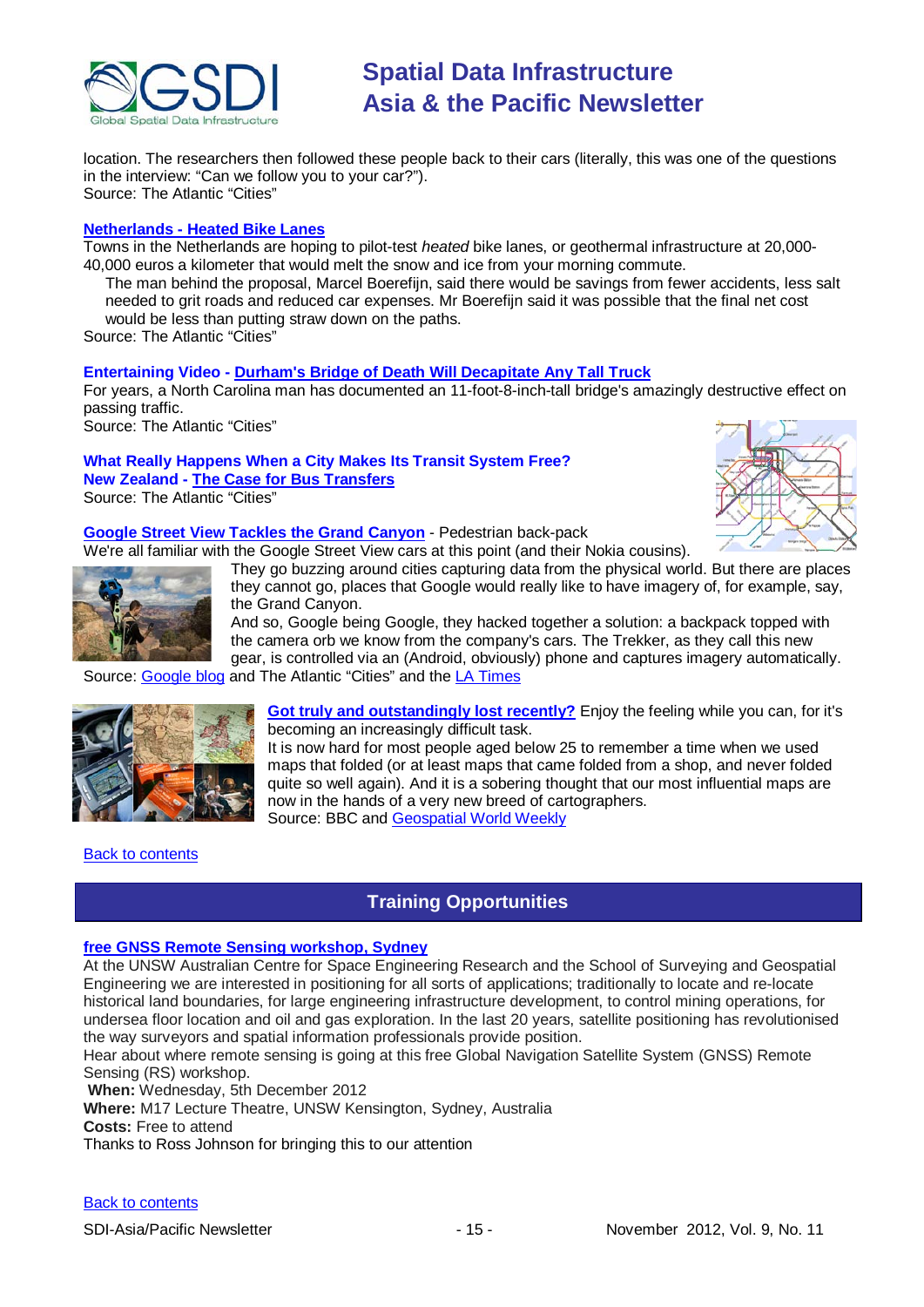

location. The researchers then followed these people back to their cars (literally, this was one of the questions in the interview: "Can we follow you to your car?"). Source: The Atlantic "Cities"

### **Netherlands - [Heated Bike Lanes](http://www.theatlanticcities.com/commute/2012/10/invention-we-wish-we-had-heated-bike-lanes/3706/)**

Towns in the Netherlands are hoping to pilot-test *heated* bike lanes, or geothermal infrastructure at 20,000- 40,000 euros a kilometer that would melt the snow and ice from your morning commute.

The man behind the proposal, Marcel Boerefijn, said there would be savings from fewer accidents, less salt needed to grit roads and reduced car expenses. Mr Boerefijn said it was possible that the final net cost would be less than putting straw down on the paths.

Source: The Atlantic "Cities"

### **Entertaining Video - [Durham's Bridge of Death Will Decapitate Any Tall Truck](http://www.theatlanticcities.com/neighborhoods/2012/10/durhams-bridge-death-will-decapitate-any-tall-truck/3707/)**

[For years, a North Carolina man has documented an 11-foot-8-inch-tall bridge's amazingly destructive effect on](https://owa.unimelb.edu.au/owa/redir.aspx?C=uFxeepuCU0Sgwr_GSbfmaF412zJuh88IgRE2jQKvkFZ3a0LyKk0VBCM7nsel5UIToBqJiMayyFM.&URL=http%3a%2f%2ftheatlantic.us2.list-manage2.com%2ftrack%2fclick%3fu%3ded2d318978b7dc9b30b1f464f%26id%3defada33529%26e%3d466c811007)  [passing traffic.](https://owa.unimelb.edu.au/owa/redir.aspx?C=uFxeepuCU0Sgwr_GSbfmaF412zJuh88IgRE2jQKvkFZ3a0LyKk0VBCM7nsel5UIToBqJiMayyFM.&URL=http%3a%2f%2ftheatlantic.us2.list-manage2.com%2ftrack%2fclick%3fu%3ded2d318978b7dc9b30b1f464f%26id%3defada33529%26e%3d466c811007)

Source: The Atlantic "Cities"

## **What Really Happens When a City Makes Its Transit System Free? New Zealand - [The Case for Bus Transfers](http://www.theatlanticcities.com/commute/2012/10/case-bus-transfers/3713/)**

Source: The Atlantic "Cities"

### **[Google Street View Tackles the Grand Canyon](http://www.theatlanticcities.com/technology/2012/10/google-street-view-tackles-grand-canyon/3716/)** - Pedestrian back-pack

We're all familiar with the Google Street View cars at this point (and their Nokia cousins).

They go buzzing around cities capturing data from the physical world. But there are places they cannot go, places that Google would really like to have imagery of, for example, say, the Grand Canyon.

And so, Google being Google, they hacked together a solution: a backpack topped with the camera orb we know from the company's cars. The Trekker, as they call this new gear, is controlled via an (Android, obviously) phone and captures imagery automatically.

Source: [Google blog](http://googleblog.blogspot.com/2012/10/trekking-grand-canyon-for-google-maps.html) and The Atlantic "Cities" and the [LA Times](http://www.latimes.com/business/technology/la-fi-tn-google-grand-canyon-20121026,0,4335732.story)



**[Got truly and outstandingly lost recently?](http://www.bbc.co.uk/news/magazine-19908848)** Enjoy the feeling while you can, for it's becoming an increasingly difficult task.

It is now hard for most people aged below 25 to remember a time when we used maps that folded (or at least maps that came folded from a shop, and never folded quite so well again). And it is a sobering thought that our most influential maps are now in the hands of a very new breed of cartographers. Source: BBC and [Geospatial World Weekly](http://beta.geospatialworld.net/newsletter/oct1512.htm)

### <span id="page-14-0"></span>**[Back to contents](#page-0-0)**

# **Training Opportunities**

### **[free GNSS Remote Sensing workshop, Sydney](http://www.acser.unsw.edu.au/events/gnss_workshop.html)**

At the UNSW Australian Centre for Space Engineering Research and the School of Surveying and Geospatial Engineering we are interested in positioning for all sorts of applications; traditionally to locate and re-locate historical land boundaries, for large engineering infrastructure development, to control mining operations, for undersea floor location and oil and gas exploration. In the last 20 years, satellite positioning has revolutionised the way surveyors and spatial information professionals provide position.

Hear about where remote sensing is going at this free Global Navigation Satellite System (GNSS) Remote Sensing (RS) workshop.

**When:** Wednesday, 5th December 2012

**Where:** M17 Lecture Theatre, UNSW Kensington, Sydney, Australia

**Costs:** Free to attend

Thanks to Ross Johnson for bringing this to our attention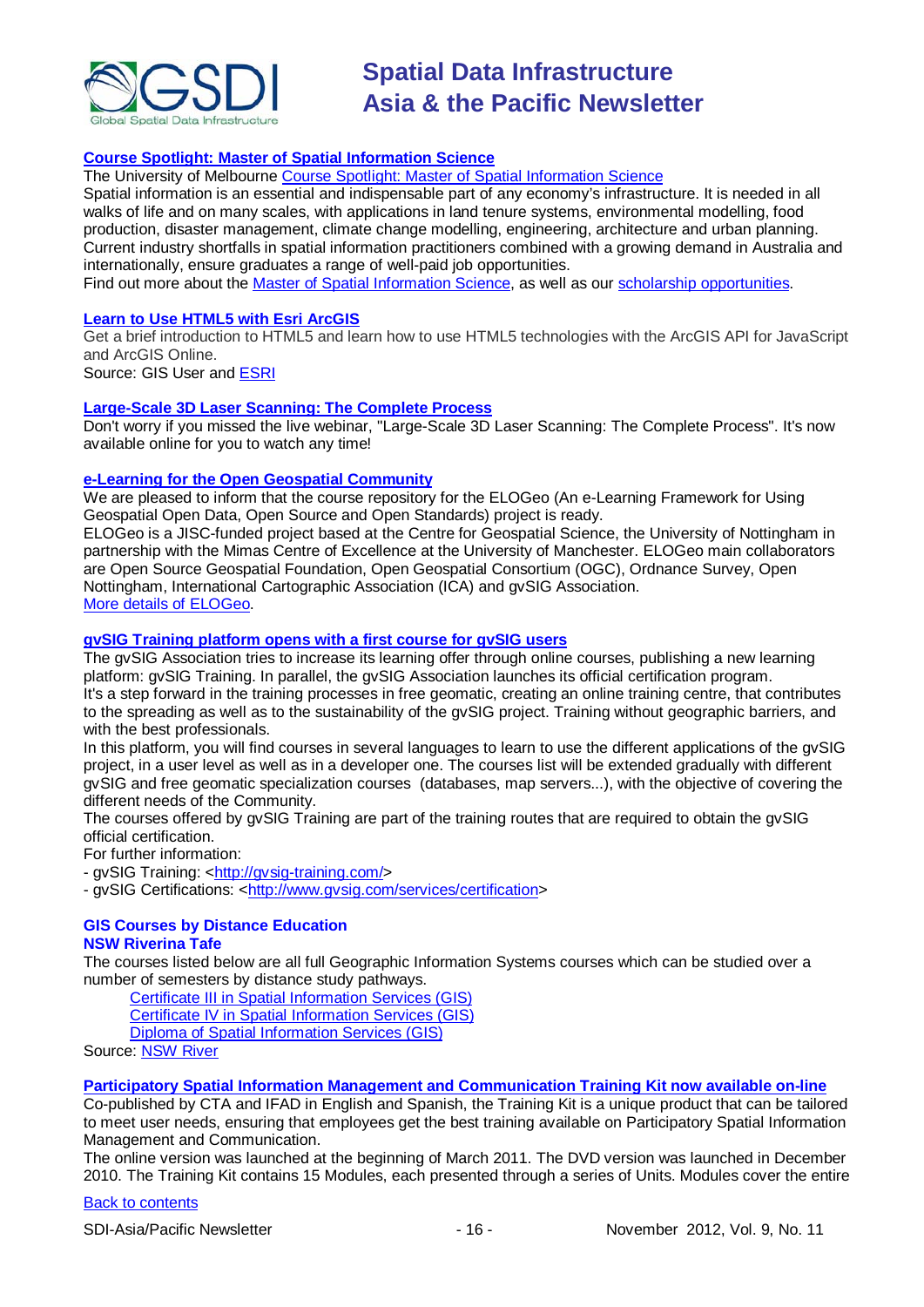

## **[Course Spotlight: Master of Spatial Information Science](http://themelbourneengineer.eng.unimelb.edu.au/2012/02/course-spotlight-master-of-spatial-information-science/)**

The University of Melbourne [Course Spotlight: Master of Spatial Information Science](http://themelbourneengineer.eng.unimelb.edu.au/2012/02/course-spotlight-master-of-spatial-information-science/)

Spatial information is an essential and indispensable part of any economy's infrastructure. It is needed in all walks of life and on many scales, with applications in land tenure systems, environmental modelling, food production, disaster management, climate change modelling, engineering, architecture and urban planning. Current industry shortfalls in spatial information practitioners combined with a growing demand in Australia and internationally, ensure graduates a range of well-paid job opportunities.

Find out more about the [Master of Spatial Information Science,](http://www.msi.unimelb.edu.au/study/graduate/master-of-spatial-information-science/) as well as our [scholarship opportunities.](http://www.eng.unimelb.edu.au/study/graduate/scholarships.html)

### **[Learn to Use HTML5 with Esri ArcGIS](http://www.gisuser.com/content/view/25915/2/)**

Get a brief introduction to HTML5 and learn how to use HTML5 technologies with the ArcGIS API for JavaScript and ArcGIS Online.

Source: GIS User and [ESRI](http://training.esri.com/Gateway/index.cfm?fa=seminars.gateway)

### **[Large-Scale 3D Laser Scanning: The Complete Process](http://www.faro.com/site/resources/details/1373?CampaignId=70170000000bbwr)**

Don't worry if you missed the live webinar, "Large-Scale 3D Laser Scanning: The Complete Process". It's now available online for you to watch any time!

### **[e-Learning for the Open Geospatial Community](http://elogeo.nottingham.ac.uk/xmlui)**

We are pleased to inform that the course repository for the ELOGeo (An e-Learning Framework for Using Geospatial Open Data, Open Source and Open Standards) project is ready.

ELOGeo is a JISC-funded project based at the Centre for Geospatial Science, the University of Nottingham in partnership with the Mimas Centre of Excellence at the University of Manchester. ELOGeo main collaborators are Open Source Geospatial Foundation, Open Geospatial Consortium (OGC), Ordnance Survey, Open Nottingham, International Cartographic Association (ICA) and gvSIG Association. [More details of ELOGeo.](http://elogeo.nottingham.ac.uk/index.html)

### **gvSIG Training platform opens with a first course for gvSIG users**

The gvSIG Association tries to increase its learning offer through online courses, publishing a new learning platform: gvSIG Training. In parallel, the gvSIG Association launches its official certification program. It's a step forward in the training processes in free geomatic, creating an online training centre, that contributes to the spreading as well as to the sustainability of the gvSIG project. Training without geographic barriers, and with the best professionals.

In this platform, you will find courses in several languages to learn to use the different applications of the gvSIG project, in a user level as well as in a developer one. The courses list will be extended gradually with different gvSIG and free geomatic specialization courses (databases, map servers...), with the objective of covering the different needs of the Community.

The courses offered by gvSIG Training are part of the training routes that are required to obtain the gvSIG official certification.

For further information:

- gvSIG Training: [<http://gvsig-training.com/>](http://gvsig-training.com/)

- gvSIG Certifications: [<http://www.gvsig.com/services/certification>](http://www.gvsig.com/services/certification)

# **GIS Courses by Distance Education**

### **NSW Riverina Tafe**

The courses listed below are all full Geographic Information Systems courses which can be studied over a number of semesters by distance study pathways.

[Certificate III in Spatial Information Services \(GIS\)](http://www.rit.tafensw.edu.au/nec/nrme/giscourses#Cert III in Spatial Information Services (CPP30109))

[Certificate IV in Spatial Information Services \(GIS\)](http://www.rit.tafensw.edu.au/nec/nrme/giscourses#Cert IV in Spatial Information Services (CPP40209))

[Diploma of Spatial Information Services \(GIS\)](http://www.rit.tafensw.edu.au/nec/nrme/giscourses#Diploma of Spatial Information Services (CPP50207))

Sourc[e: NSW River](http://www.rit.tafensw.edu.au/nec/nrme/giscourses)

### **[Participatory Spatial Information Management and Communication Training Kit now available on-line](http://www.cta.int/en/About-us/CTA-news/Participatory-Spatial-Information-Management-and-Communication-Training-Kit-now-available-on-line)**

Co-published by CTA and IFAD in English and Spanish, the Training Kit is a unique product that can be tailored to meet user needs, ensuring that employees get the best training available on Participatory Spatial Information Management and Communication.

The [online version](http://pgis-tk.cta.int/) was launched at the beginning of March 2011. The DVD version was launched in December 2010. The Training Kit contains 15 Modules, each presented through a series of Units. Modules cover the entire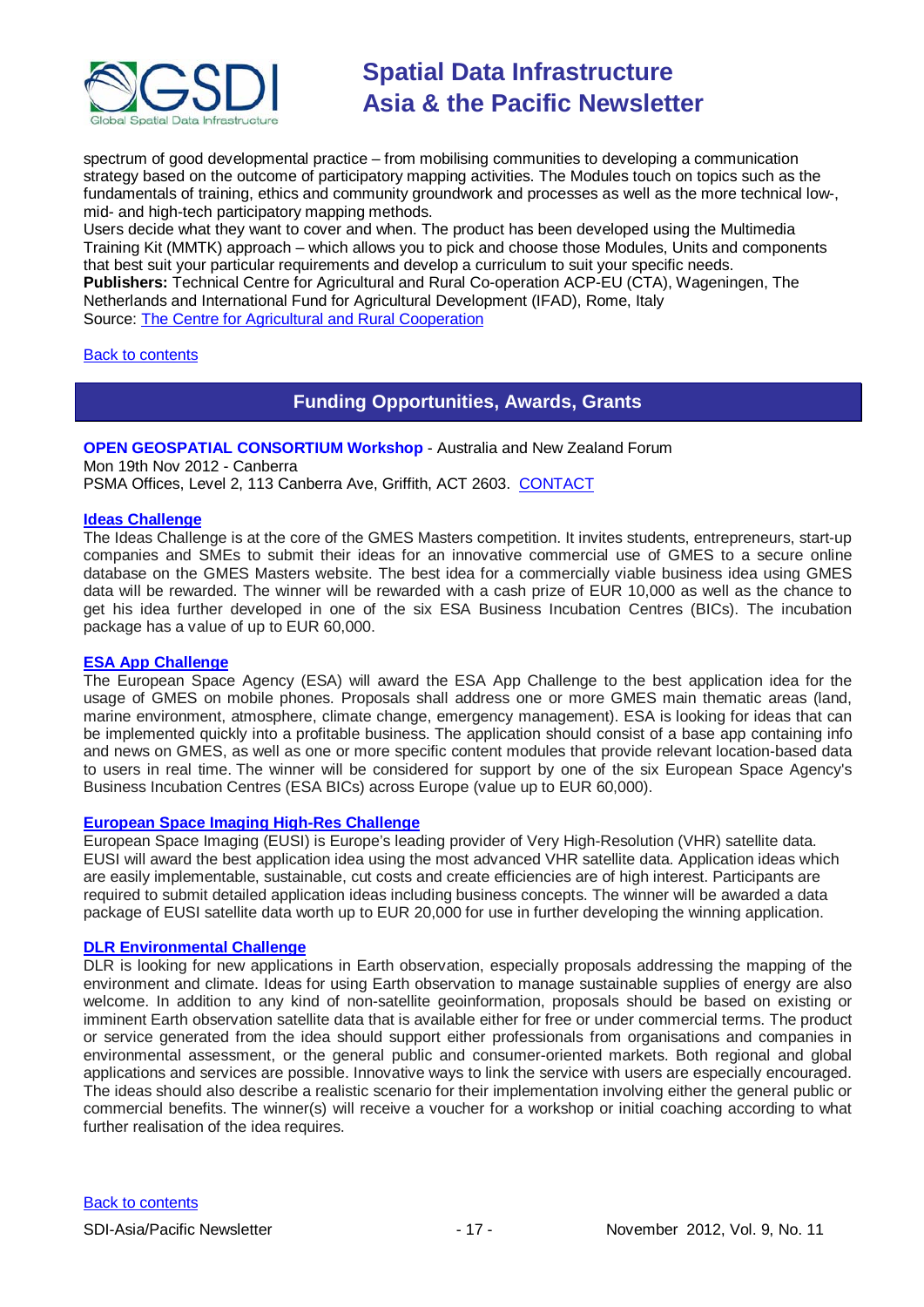

spectrum of good developmental practice – from mobilising communities to developing a communication strategy based on the outcome of participatory mapping activities. The Modules touch on topics such as the fundamentals of training, ethics and community groundwork and processes as well as the more technical low-, mid- and high-tech participatory mapping methods.

Users decide what they want to cover and when. The product has been developed using the Multimedia Training Kit (MMTK) approach – which allows you to pick and choose those Modules, Units and components that best suit your particular requirements and develop a curriculum to suit your specific needs. **Publishers:** Technical Centre for Agricultural and Rural Co-operation ACP-EU (CTA), Wageningen, The Netherlands and International Fund for Agricultural Development (IFAD), Rome, Italy Source: [The Centre for Agricultural and Rural Cooperation](http://www.cta.int/en/About-us/Who-we-are)

### <span id="page-16-0"></span>[Back to contents](#page-0-0)

## **Funding Opportunities, Awards, Grants**

**OPEN GEOSPATIAL CONSORTIUM Workshop** - Australia and New Zealand Forum Mon 19th Nov 2012 - Canberra PSMA Offices, Level 2, 113 Canberra Ave, Griffith, ACT 2603. [CONTACT](mailto:Denise.McKenzie@dse.vic.gov.au)

### **[Ideas Challenge](http://www.gmes-masters.com/ideas-challenge)**

The Ideas Challenge is at the core of the GMES Masters competition. It invites students, entrepreneurs, start-up companies and SMEs to submit their ideas for an innovative commercial use of GMES to a secure online database on the GMES Masters website. The best idea for a commercially viable business idea using GMES data will be rewarded. The winner will be rewarded with a cash prize of EUR 10,000 as well as the chance to get his idea further developed in one of the six ESA Business Incubation Centres (BICs). The incubation package has a value of up to EUR 60,000.

### **[ESA App Challenge](http://www.gmes-masters.com/esa-app-challenge)**

The European Space Agency (ESA) will award the ESA App Challenge to the best application idea for the usage of GMES on mobile phones. Proposals shall address one or more GMES main thematic areas (land, marine environment, atmosphere, climate change, emergency management). ESA is looking for ideas that can be implemented quickly into a profitable business. The application should consist of a base app containing info and news on GMES, as well as one or more specific content modules that provide relevant location-based data to users in real time. The winner will be considered for support by one of the six European Space Agency's Business Incubation Centres (ESA BICs) across Europe (value up to EUR 60,000).

### **[European Space Imaging High-Res Challenge](http://www.gmes-masters.com/european-space-0)**

European Space Imaging (EUSI) is Europe's leading provider of Very High-Resolution (VHR) satellite data. EUSI will award the best application idea using the most advanced VHR satellite data. Application ideas which are easily implementable, sustainable, cut costs and create efficiencies are of high interest. Participants are required to submit detailed application ideas including business concepts. The winner will be awarded a data package of EUSI satellite data worth up to EUR 20,000 for use in further developing the winning application.

### **[DLR Environmental Challenge](http://www.gmes-masters.com/dlr-environmental)**

DLR is looking for new applications in Earth observation, especially proposals addressing the mapping of the environment and climate. Ideas for using Earth observation to manage sustainable supplies of energy are also welcome. In addition to any kind of non-satellite geoinformation, proposals should be based on existing or imminent Earth observation satellite data that is available either for free or under commercial terms. The product or service generated from the idea should support either professionals from organisations and companies in environmental assessment, or the general public and consumer-oriented markets. Both regional and global applications and services are possible. Innovative ways to link the service with users are especially encouraged. The ideas should also describe a realistic scenario for their implementation involving either the general public or commercial benefits. The winner(s) will receive a voucher for a workshop or initial coaching according to what further realisation of the idea requires.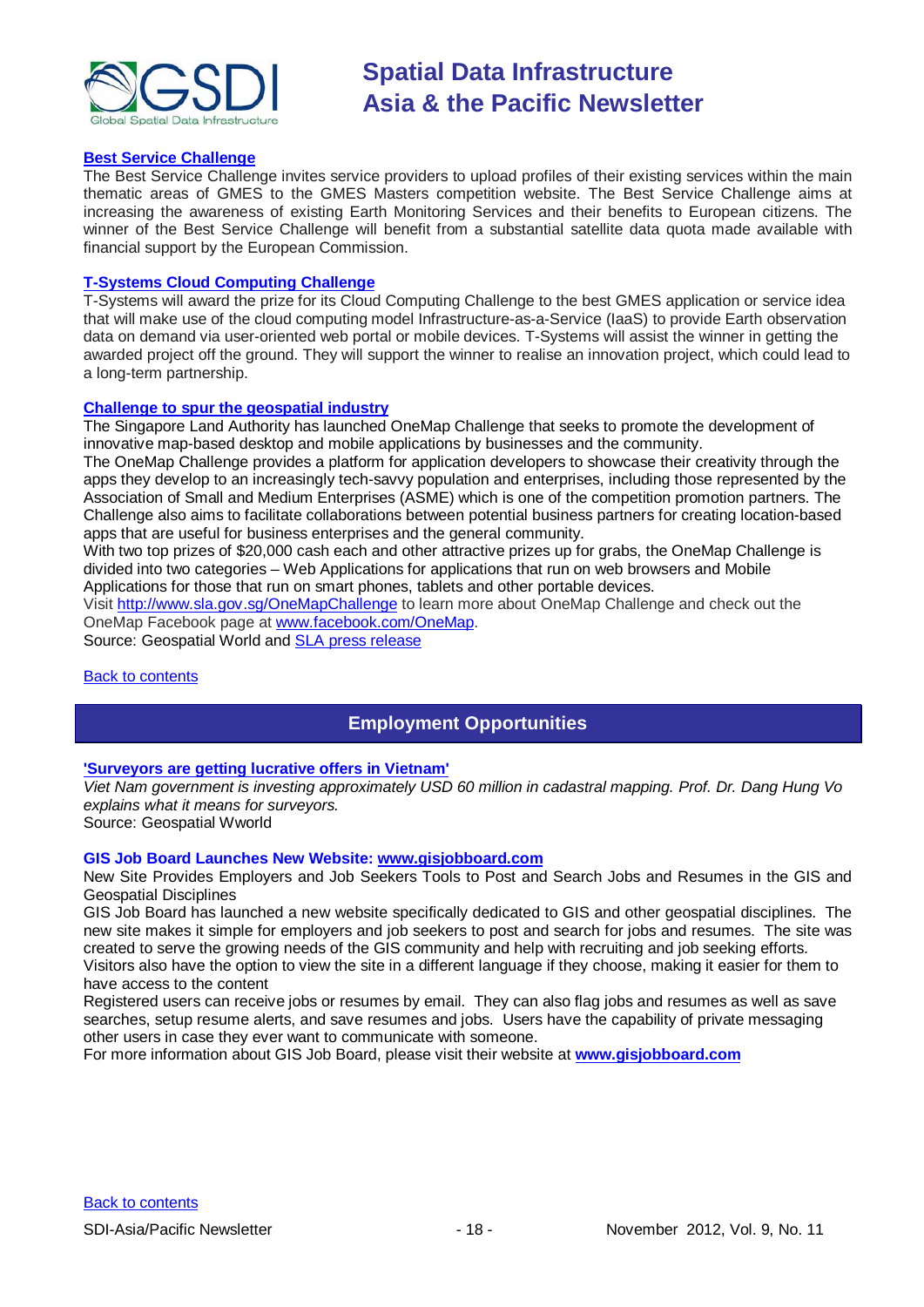

### **[Best Service Challenge](http://www.gmes-masters.com/best-service)**

The Best Service Challenge invites service providers to upload profiles of their existing services within the main thematic areas of GMES to the GMES Masters competition website. The Best Service Challenge aims at increasing the awareness of existing Earth Monitoring Services and their benefits to European citizens. The winner of the Best Service Challenge will benefit from a substantial satellite data quota made available with financial support by the European Commission.

### **[T-Systems Cloud Computing Challenge](http://www.gmes-masters.com/t-systems-cloud)**

T-Systems will award the prize for its Cloud Computing Challenge to the best GMES application or service idea that will make use of the cloud computing model Infrastructure-as-a-Service (IaaS) to provide Earth observation data on demand via user-oriented web portal or mobile devices. T-Systems will assist the winner in getting the awarded project off the ground. They will support the winner to realise an innovation project, which could lead to a long-term partnership.

### **[Challenge to spur the geospatial industry](http://geospatialworld.net/index.php?option=com_content&view=article&id=23850:challenge-to-spur-the-geospatial-industry&catid=75:miscellaneous-events)**

The Singapore Land Authority has launched OneMap Challenge that seeks to promote the development of innovative map-based desktop and mobile applications by businesses and the community.

The OneMap Challenge provides a platform for application developers to showcase their creativity through the apps they develop to an increasingly tech-savvy population and enterprises, including those represented by the Association of Small and Medium Enterprises (ASME) which is one of the competition promotion partners. The Challenge also aims to facilitate collaborations between potential business partners for creating location-based apps that are useful for business enterprises and the general community.

With two top prizes of \$20,000 cash each and other attractive prizes up for grabs, the OneMap Challenge is divided into two categories – Web Applications for applications that run on web browsers and Mobile Applications for those that run on smart phones, tablets and other portable devices.

Visit <http://www.sla.gov.sg/OneMapChallenge> to learn more about OneMap Challenge and check out the OneMap Facebook page at [www.facebook.com/OneMap.](http://www.facebook.com/OneMap)

Source: Geospatial World and [SLA press release](http://www.sla.gov.sg/htm/new/new2012/new0401.htm)

### <span id="page-17-0"></span>[Back to contents](#page-0-0)

# **Employment Opportunities**

### **['Surveyors are getting lucrative offers in Vietnam'](http://www.geospatialworld.net/index.php?option=com_interview&int=1&view=managetemplate&id=255&Itemid=644)**

*Viet Nam government is investing approximately USD 60 million in cadastral mapping. Prof. Dr. Dang Hung Vo explains what it means for surveyors.*

Source: Geospatial Wworld

### **GIS Job Board Launches New Website: [www.gisjobboard.com](http://www.gisjobboard.com/)**

New Site Provides Employers and Job Seekers Tools to Post and Search Jobs and Resumes in the GIS and Geospatial Disciplines

GIS Job Board has launched a new website specifically dedicated to GIS and other geospatial disciplines. The new site makes it simple for employers and job seekers to post and search for jobs and resumes. The site was created to serve the growing needs of the GIS community and help with recruiting and job seeking efforts. Visitors also have the option to view the site in a different language if they choose, making it easier for them to

have access to the content

Registered users can receive jobs or resumes by email. They can also flag jobs and resumes as well as save searches, setup resume alerts, and save resumes and jobs. Users have the capability of private messaging other users in case they ever want to communicate with someone.

<span id="page-17-1"></span>For more information about GIS Job Board, please visit their website at **[www.gisjobboard.com](http://www.gisjobboard.com/)**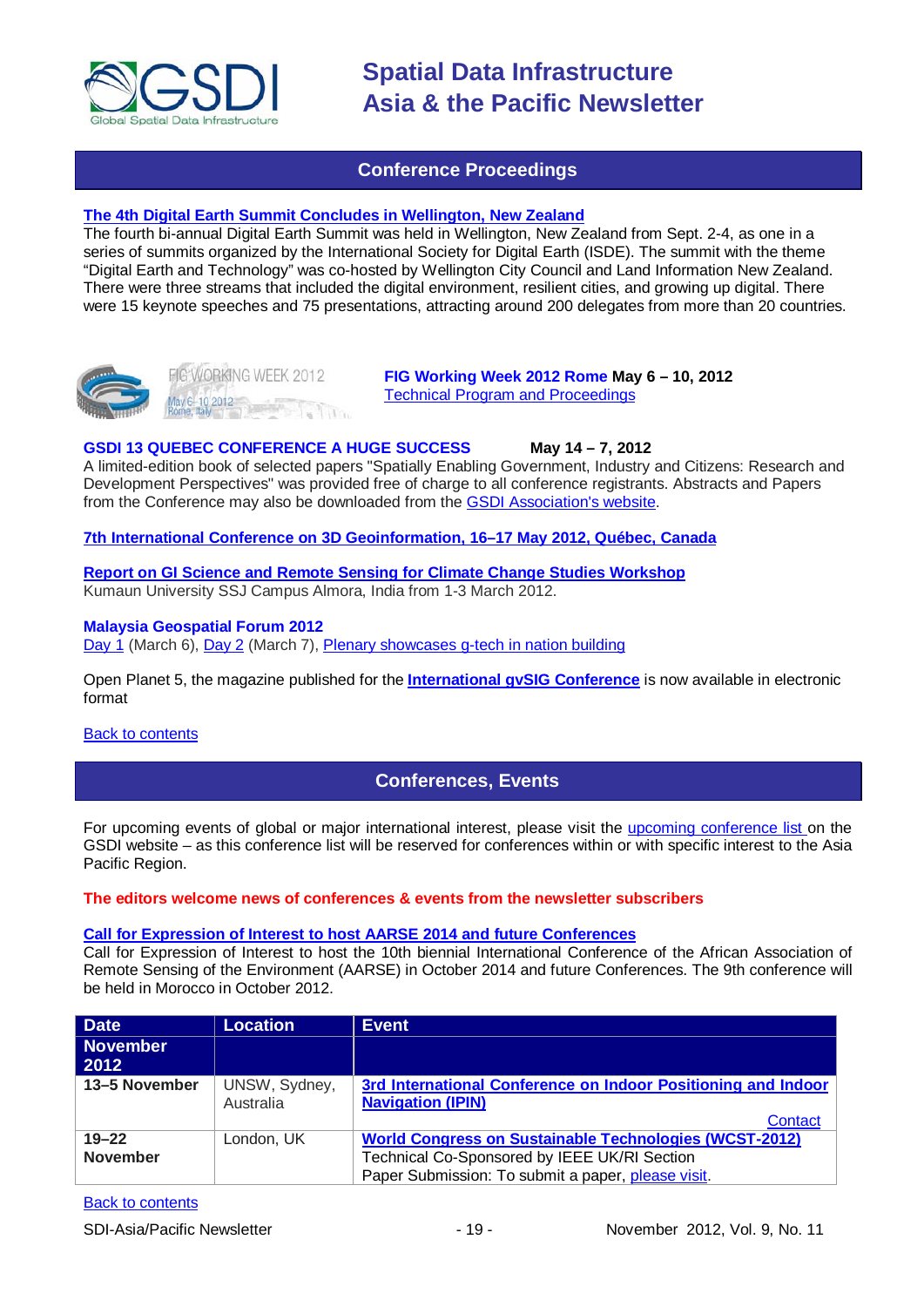

## **Conference Proceedings**

### **[The 4th Digital Earth Summit Concludes in Wellington, New Zealand](http://digitalearth-isde.org/news/367)**

The fourth bi-annual Digital Earth Summit was held in Wellington, New Zealand from Sept. 2-4, as one in a series of summits organized by the International Society for Digital Earth (ISDE). The summit with the theme "Digital Earth and Technology" was co-hosted by Wellington City Council and Land Information New Zealand. There were three streams that included the digital environment, resilient cities, and growing up digital. There were 15 keynote speeches and 75 presentations, attracting around 200 delegates from more than 20 countries.





**FIG Working Week 2012 Rome May 6 – 10, 2012** [Technical Program and Proceedings](http://www.fig.net/pub/fig2012/techprog.htm)

### **GSDI 13 QUEBEC CONFERENCE A HUGE SUCCESS May 14 – 7, 2012**

A limited-edition book of selected papers "Spatially Enabling Government, Industry and Citizens: Research and Development Perspectives" was provided free of charge to all conference registrants. Abstracts and Papers from the Conference may also be downloaded from th[e GSDI Association's website.](http://www.gsdi.org/gsdiconf/gsdi13/prog_details.html)

### **[7th International Conference on 3D Geoinformation, 16–17 May 2012, Québec, Canada](http://www.int-arch-photogramm-remote-sens-spatial-inf-sci.net/XXXVIII-4-C26/)**

**[Report on GI Science and Remote Sensing for Climate Change Studies Workshop](http://www.asmmag.com/201205043668/report-on-gi-science-and-remote-sensing-for-climate-change-studies-workshop.html)** Kumaun University SSJ Campus Almora, India from 1-3 March 2012.

### **Malaysia Geospatial Forum 2012**

[Day 1](http://www.geospatialworld.net/index.php?option=com_content&view=article&id=24204%3Amalaysia-explores-geospatial-opportunities&catid=75%3Amiscellaneous-events&Itemid=1) (March 6), [Day 2](http://www.geospatialworld.net/index.php?option=com_content&view=article&id=24223%3Ageospatial-sector-should-strive-to-become-more-useful&catid=75%3Amiscellaneous-events&Itemid=1) (March 7), [Plenary showcases g-tech in nation building](http://www.geospatialworld.net/index.php?option=com_content&view=article&id=24212%3Aplenary-showcases-g-tech-in-nation-building-&catid=75%3Amiscellaneous-events&Itemid=1)

[Open Planet 5, the magazine published for the](http://jornadas.gvsig.org/descargas/magazine) **International gvSIG Conference** is now available in electronic [format](http://jornadas.gvsig.org/descargas/magazine)

### <span id="page-18-0"></span>[Back to contents](#page-0-0)

## **Conferences, Events**

For upcoming events of global or major international interest, please visit the [upcoming conference list o](http://gsdi.org/events/upcnf.asp)n the GSDI website – as this conference list will be reserved for conferences within or with specific interest to the Asia Pacific Region.

### **The editors welcome news of conferences & events from the newsletter subscribers**

### **[Call for Expression of Interest to host AARSE 2014 and future Conferences](http://lists.gsdi.org/pipermail/sdi-africa/2010-November/001135.html)**

Call for Expression of Interest to host the 10th biennial International Conference of the African Association of Remote Sensing of the Environment (AARSE) in October 2014 and future Conferences. The 9th conference will be held in Morocco in October 2012.

| <b>Date</b>             | <b>Location</b> | <b>Event</b>                                                  |
|-------------------------|-----------------|---------------------------------------------------------------|
| <b>November</b><br>2012 |                 |                                                               |
| 13-5 November           | UNSW, Sydney,   | 3rd International Conference on Indoor Positioning and Indoor |
|                         | Australia       | <b>Navigation (IPIN)</b>                                      |
|                         |                 | <b>Contact</b>                                                |
| $19 - 22$               | London, UK      | <b>World Congress on Sustainable Technologies (WCST-2012)</b> |
| <b>November</b>         |                 | Technical Co-Sponsored by IEEE UK/RI Section                  |
|                         |                 | Paper Submission: To submit a paper, please visit.            |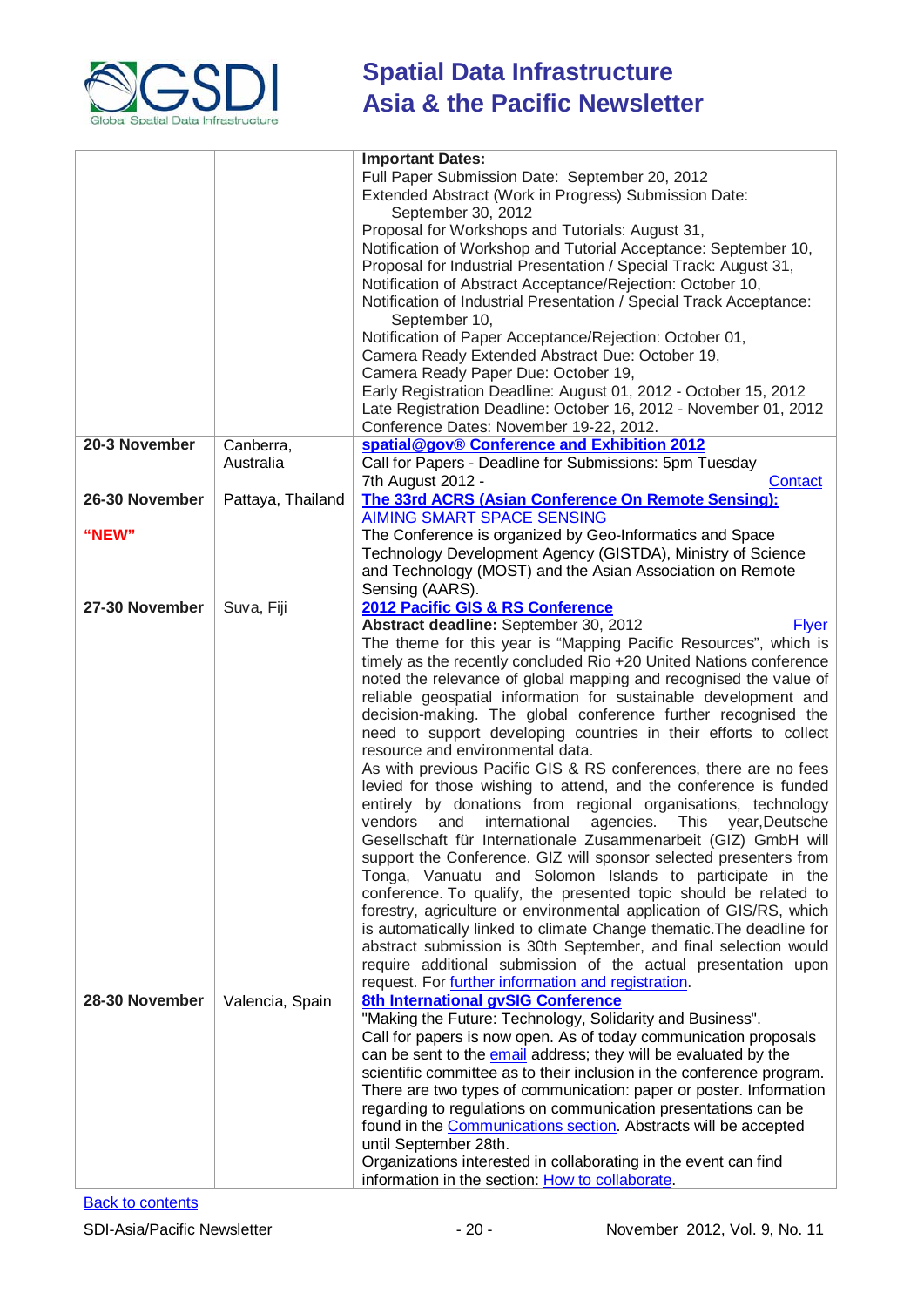

|                |                   | <b>Important Dates:</b>                                                                                                                                                                                                                                                                                                                                                                                                                                                                                                                                                                                                                                                                                                                                                                                                                                                                                                                                                                                                                                                                                                                                                                                                                                                                                                                                                                                                                                 |  |
|----------------|-------------------|---------------------------------------------------------------------------------------------------------------------------------------------------------------------------------------------------------------------------------------------------------------------------------------------------------------------------------------------------------------------------------------------------------------------------------------------------------------------------------------------------------------------------------------------------------------------------------------------------------------------------------------------------------------------------------------------------------------------------------------------------------------------------------------------------------------------------------------------------------------------------------------------------------------------------------------------------------------------------------------------------------------------------------------------------------------------------------------------------------------------------------------------------------------------------------------------------------------------------------------------------------------------------------------------------------------------------------------------------------------------------------------------------------------------------------------------------------|--|
|                |                   | Full Paper Submission Date: September 20, 2012<br>Extended Abstract (Work in Progress) Submission Date:<br>September 30, 2012<br>Proposal for Workshops and Tutorials: August 31,                                                                                                                                                                                                                                                                                                                                                                                                                                                                                                                                                                                                                                                                                                                                                                                                                                                                                                                                                                                                                                                                                                                                                                                                                                                                       |  |
|                |                   | Notification of Workshop and Tutorial Acceptance: September 10,<br>Proposal for Industrial Presentation / Special Track: August 31,<br>Notification of Abstract Acceptance/Rejection: October 10,                                                                                                                                                                                                                                                                                                                                                                                                                                                                                                                                                                                                                                                                                                                                                                                                                                                                                                                                                                                                                                                                                                                                                                                                                                                       |  |
|                |                   | Notification of Industrial Presentation / Special Track Acceptance:<br>September 10,<br>Notification of Paper Acceptance/Rejection: October 01,                                                                                                                                                                                                                                                                                                                                                                                                                                                                                                                                                                                                                                                                                                                                                                                                                                                                                                                                                                                                                                                                                                                                                                                                                                                                                                         |  |
|                |                   | Camera Ready Extended Abstract Due: October 19,<br>Camera Ready Paper Due: October 19,                                                                                                                                                                                                                                                                                                                                                                                                                                                                                                                                                                                                                                                                                                                                                                                                                                                                                                                                                                                                                                                                                                                                                                                                                                                                                                                                                                  |  |
|                |                   | Early Registration Deadline: August 01, 2012 - October 15, 2012<br>Late Registration Deadline: October 16, 2012 - November 01, 2012<br>Conference Dates: November 19-22, 2012.                                                                                                                                                                                                                                                                                                                                                                                                                                                                                                                                                                                                                                                                                                                                                                                                                                                                                                                                                                                                                                                                                                                                                                                                                                                                          |  |
| 20-3 November  | Canberra,         |                                                                                                                                                                                                                                                                                                                                                                                                                                                                                                                                                                                                                                                                                                                                                                                                                                                                                                                                                                                                                                                                                                                                                                                                                                                                                                                                                                                                                                                         |  |
|                | Australia         | spatial@gov® Conference and Exhibition 2012<br>Call for Papers - Deadline for Submissions: 5pm Tuesday<br>7th August 2012 -<br>Contact                                                                                                                                                                                                                                                                                                                                                                                                                                                                                                                                                                                                                                                                                                                                                                                                                                                                                                                                                                                                                                                                                                                                                                                                                                                                                                                  |  |
| 26-30 November | Pattaya, Thailand | The 33rd ACRS (Asian Conference On Remote Sensing):<br><b>AIMING SMART SPACE SENSING</b>                                                                                                                                                                                                                                                                                                                                                                                                                                                                                                                                                                                                                                                                                                                                                                                                                                                                                                                                                                                                                                                                                                                                                                                                                                                                                                                                                                |  |
| "NEW"          |                   | The Conference is organized by Geo-Informatics and Space<br>Technology Development Agency (GISTDA), Ministry of Science<br>and Technology (MOST) and the Asian Association on Remote                                                                                                                                                                                                                                                                                                                                                                                                                                                                                                                                                                                                                                                                                                                                                                                                                                                                                                                                                                                                                                                                                                                                                                                                                                                                    |  |
|                |                   | Sensing (AARS).                                                                                                                                                                                                                                                                                                                                                                                                                                                                                                                                                                                                                                                                                                                                                                                                                                                                                                                                                                                                                                                                                                                                                                                                                                                                                                                                                                                                                                         |  |
| 27-30 November | Suva, Fiji        | 2012 Pacific GIS & RS Conference                                                                                                                                                                                                                                                                                                                                                                                                                                                                                                                                                                                                                                                                                                                                                                                                                                                                                                                                                                                                                                                                                                                                                                                                                                                                                                                                                                                                                        |  |
| 28-30 November | Valencia, Spain   | Abstract deadline: September 30, 2012<br><b>Flyer</b><br>The theme for this year is "Mapping Pacific Resources", which is<br>timely as the recently concluded Rio +20 United Nations conference<br>noted the relevance of global mapping and recognised the value of<br>reliable geospatial information for sustainable development and<br>decision-making. The global conference further recognised the<br>need to support developing countries in their efforts to collect<br>resource and environmental data.<br>As with previous Pacific GIS & RS conferences, there are no fees<br>levied for those wishing to attend, and the conference is funded<br>entirely by donations from regional organisations, technology<br>vendors<br>international<br>agencies. This<br>and<br>year, Deutsche<br>Gesellschaft für Internationale Zusammenarbeit (GIZ) GmbH will<br>support the Conference. GIZ will sponsor selected presenters from<br>Tonga, Vanuatu and Solomon Islands to participate in the<br>conference. To qualify, the presented topic should be related to<br>forestry, agriculture or environmental application of GIS/RS, which<br>is automatically linked to climate Change thematic. The deadline for<br>abstract submission is 30th September, and final selection would<br>require additional submission of the actual presentation upon<br>request. For further information and registration.<br>8th International gvSIG Conference |  |
|                |                   | "Making the Future: Technology, Solidarity and Business".<br>Call for papers is now open. As of today communication proposals<br>can be sent to the email address; they will be evaluated by the<br>scientific committee as to their inclusion in the conference program.<br>There are two types of communication: paper or poster. Information<br>regarding to regulations on communication presentations can be<br>found in the Communications section. Abstracts will be accepted<br>until September 28th.<br>Organizations interested in collaborating in the event can find<br>information in the section: How to collaborate.                                                                                                                                                                                                                                                                                                                                                                                                                                                                                                                                                                                                                                                                                                                                                                                                                     |  |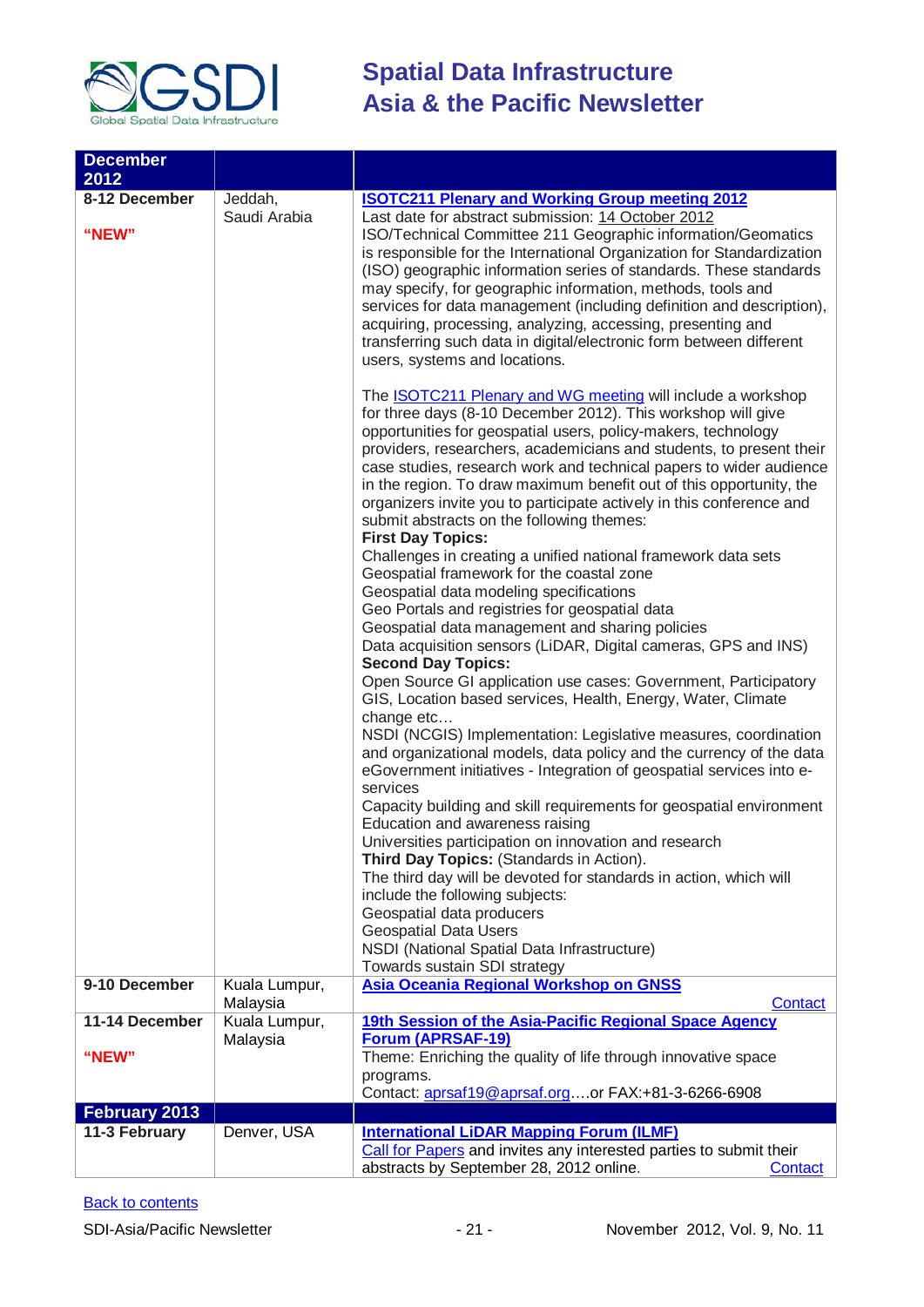

| <b>December</b><br>2012<br>8-12 December<br>"NEW" | Jeddah,<br>Saudi Arabia   | <b>ISOTC211 Plenary and Working Group meeting 2012</b><br>Last date for abstract submission: 14 October 2012<br>ISO/Technical Committee 211 Geographic information/Geomatics<br>is responsible for the International Organization for Standardization<br>(ISO) geographic information series of standards. These standards<br>may specify, for geographic information, methods, tools and<br>services for data management (including definition and description),<br>acquiring, processing, analyzing, accessing, presenting and<br>transferring such data in digital/electronic form between different<br>users, systems and locations.<br>The <b>ISOTC211 Plenary and WG meeting</b> will include a workshop<br>for three days (8-10 December 2012). This workshop will give<br>opportunities for geospatial users, policy-makers, technology<br>providers, researchers, academicians and students, to present their<br>case studies, research work and technical papers to wider audience<br>in the region. To draw maximum benefit out of this opportunity, the<br>organizers invite you to participate actively in this conference and<br>submit abstracts on the following themes:<br><b>First Day Topics:</b><br>Challenges in creating a unified national framework data sets<br>Geospatial framework for the coastal zone<br>Geospatial data modeling specifications<br>Geo Portals and registries for geospatial data<br>Geospatial data management and sharing policies<br>Data acquisition sensors (LiDAR, Digital cameras, GPS and INS)<br><b>Second Day Topics:</b><br>Open Source GI application use cases: Government, Participatory<br>GIS, Location based services, Health, Energy, Water, Climate<br>change etc<br>NSDI (NCGIS) Implementation: Legislative measures, coordination<br>and organizational models, data policy and the currency of the data<br>eGovernment initiatives - Integration of geospatial services into e-<br>services |
|---------------------------------------------------|---------------------------|------------------------------------------------------------------------------------------------------------------------------------------------------------------------------------------------------------------------------------------------------------------------------------------------------------------------------------------------------------------------------------------------------------------------------------------------------------------------------------------------------------------------------------------------------------------------------------------------------------------------------------------------------------------------------------------------------------------------------------------------------------------------------------------------------------------------------------------------------------------------------------------------------------------------------------------------------------------------------------------------------------------------------------------------------------------------------------------------------------------------------------------------------------------------------------------------------------------------------------------------------------------------------------------------------------------------------------------------------------------------------------------------------------------------------------------------------------------------------------------------------------------------------------------------------------------------------------------------------------------------------------------------------------------------------------------------------------------------------------------------------------------------------------------------------------------------------------------------------------------------------------------------------------------------------------------------------------------|
|                                                   |                           | Capacity building and skill requirements for geospatial environment<br>Education and awareness raising<br>Universities participation on innovation and research<br>Third Day Topics: (Standards in Action).<br>The third day will be devoted for standards in action, which will<br>include the following subjects:<br>Geospatial data producers<br><b>Geospatial Data Users</b><br>NSDI (National Spatial Data Infrastructure)                                                                                                                                                                                                                                                                                                                                                                                                                                                                                                                                                                                                                                                                                                                                                                                                                                                                                                                                                                                                                                                                                                                                                                                                                                                                                                                                                                                                                                                                                                                                  |
|                                                   |                           | Towards sustain SDI strategy                                                                                                                                                                                                                                                                                                                                                                                                                                                                                                                                                                                                                                                                                                                                                                                                                                                                                                                                                                                                                                                                                                                                                                                                                                                                                                                                                                                                                                                                                                                                                                                                                                                                                                                                                                                                                                                                                                                                     |
| 9-10 December                                     | Kuala Lumpur,<br>Malaysia | Asia Oceania Regional Workshop on GNSS<br>Contact                                                                                                                                                                                                                                                                                                                                                                                                                                                                                                                                                                                                                                                                                                                                                                                                                                                                                                                                                                                                                                                                                                                                                                                                                                                                                                                                                                                                                                                                                                                                                                                                                                                                                                                                                                                                                                                                                                                |
| 11-14 December                                    | Kuala Lumpur,             | 19th Session of the Asia-Pacific Regional Space Agency                                                                                                                                                                                                                                                                                                                                                                                                                                                                                                                                                                                                                                                                                                                                                                                                                                                                                                                                                                                                                                                                                                                                                                                                                                                                                                                                                                                                                                                                                                                                                                                                                                                                                                                                                                                                                                                                                                           |
| "NEW"                                             | Malaysia                  | <b>Forum (APRSAF-19)</b><br>Theme: Enriching the quality of life through innovative space<br>programs.<br>Contact: aprsaf19@aprsaf.orgor FAX:+81-3-6266-6908                                                                                                                                                                                                                                                                                                                                                                                                                                                                                                                                                                                                                                                                                                                                                                                                                                                                                                                                                                                                                                                                                                                                                                                                                                                                                                                                                                                                                                                                                                                                                                                                                                                                                                                                                                                                     |
| February 2013                                     |                           |                                                                                                                                                                                                                                                                                                                                                                                                                                                                                                                                                                                                                                                                                                                                                                                                                                                                                                                                                                                                                                                                                                                                                                                                                                                                                                                                                                                                                                                                                                                                                                                                                                                                                                                                                                                                                                                                                                                                                                  |
| 11-3 February                                     | Denver, USA               | <b>International LiDAR Mapping Forum (ILMF)</b><br>Call for Papers and invites any interested parties to submit their<br>abstracts by September 28, 2012 online.<br>Contact                                                                                                                                                                                                                                                                                                                                                                                                                                                                                                                                                                                                                                                                                                                                                                                                                                                                                                                                                                                                                                                                                                                                                                                                                                                                                                                                                                                                                                                                                                                                                                                                                                                                                                                                                                                      |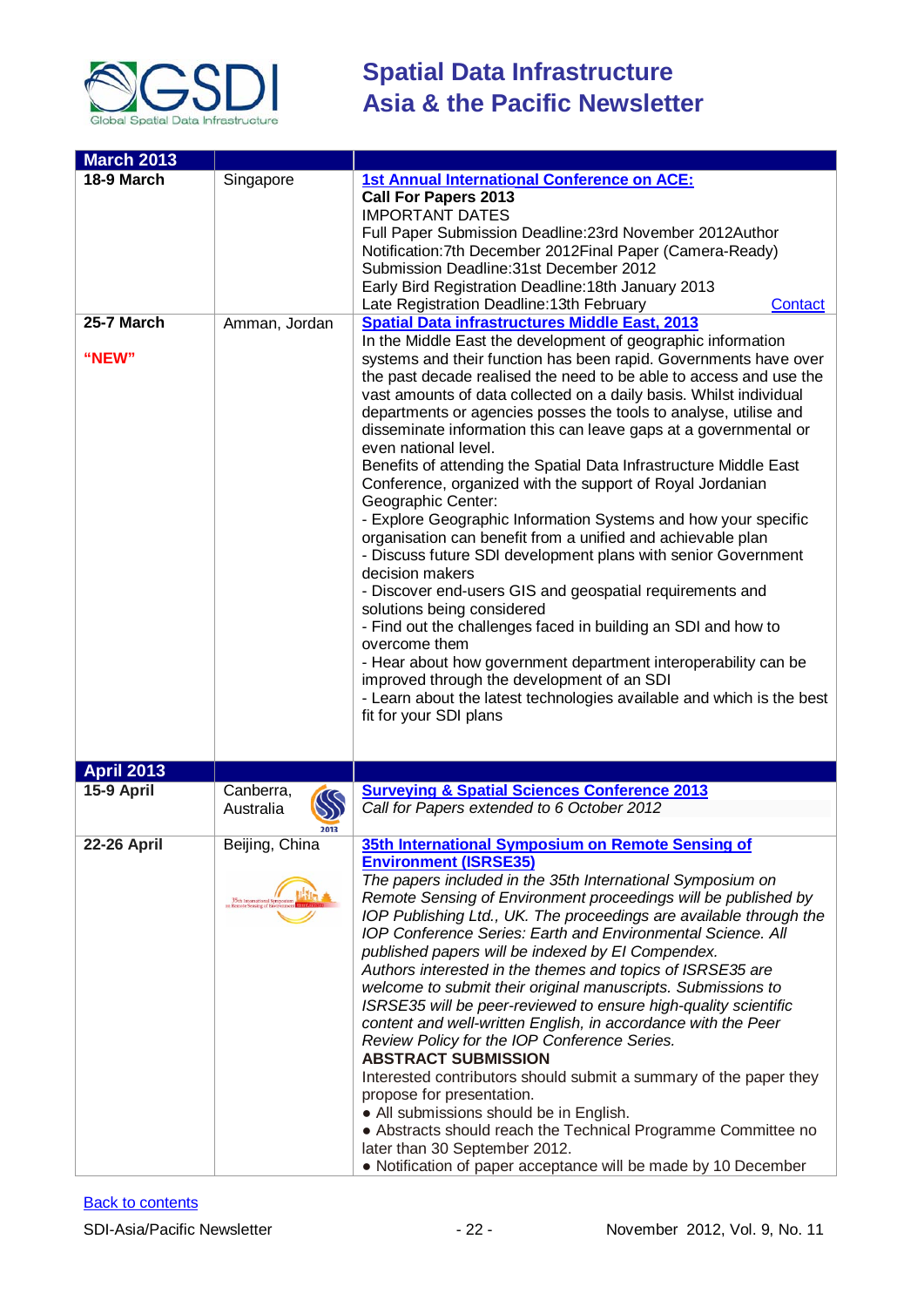

| <b>March 2013</b>  |                                       |                                                                                                                                        |  |
|--------------------|---------------------------------------|----------------------------------------------------------------------------------------------------------------------------------------|--|
| 18-9 March         | Singapore                             | <b>1st Annual International Conference on ACE:</b><br><b>Call For Papers 2013</b><br><b>IMPORTANT DATES</b>                            |  |
|                    |                                       |                                                                                                                                        |  |
|                    |                                       | Full Paper Submission Deadline: 23rd November 2012Author                                                                               |  |
|                    |                                       | Notification: 7th December 2012 Final Paper (Camera-Ready)<br>Submission Deadline: 31st December 2012                                  |  |
|                    |                                       | Early Bird Registration Deadline: 18th January 2013                                                                                    |  |
|                    |                                       | Late Registration Deadline: 13th February<br>Contact                                                                                   |  |
| 25-7 March         | Amman, Jordan                         | <b>Spatial Data infrastructures Middle East, 2013</b>                                                                                  |  |
|                    |                                       | In the Middle East the development of geographic information                                                                           |  |
| "NEW"              |                                       | systems and their function has been rapid. Governments have over                                                                       |  |
|                    |                                       | the past decade realised the need to be able to access and use the                                                                     |  |
|                    |                                       | vast amounts of data collected on a daily basis. Whilst individual<br>departments or agencies posses the tools to analyse, utilise and |  |
|                    |                                       | disseminate information this can leave gaps at a governmental or                                                                       |  |
|                    |                                       | even national level.                                                                                                                   |  |
|                    |                                       | Benefits of attending the Spatial Data Infrastructure Middle East                                                                      |  |
|                    |                                       | Conference, organized with the support of Royal Jordanian<br>Geographic Center:                                                        |  |
|                    |                                       | - Explore Geographic Information Systems and how your specific                                                                         |  |
|                    |                                       | organisation can benefit from a unified and achievable plan                                                                            |  |
|                    |                                       | - Discuss future SDI development plans with senior Government                                                                          |  |
|                    |                                       | decision makers                                                                                                                        |  |
|                    |                                       | - Discover end-users GIS and geospatial requirements and                                                                               |  |
|                    |                                       | solutions being considered<br>- Find out the challenges faced in building an SDI and how to                                            |  |
|                    |                                       | overcome them                                                                                                                          |  |
|                    |                                       | - Hear about how government department interoperability can be                                                                         |  |
|                    |                                       | improved through the development of an SDI                                                                                             |  |
|                    |                                       | - Learn about the latest technologies available and which is the best<br>fit for your SDI plans                                        |  |
|                    |                                       |                                                                                                                                        |  |
|                    |                                       |                                                                                                                                        |  |
| <b>April 2013</b>  |                                       |                                                                                                                                        |  |
| 15-9 April         | Canberra,                             | <b>Surveying &amp; Spatial Sciences Conference 2013</b>                                                                                |  |
|                    | $\infty$<br>Australia                 | Call for Papers extended to 6 October 2012                                                                                             |  |
|                    | 2013                                  |                                                                                                                                        |  |
| <b>22-26 April</b> | Beijing, China                        | 35th International Symposium on Remote Sensing of                                                                                      |  |
|                    |                                       | <b>Environment (ISRSE35)</b>                                                                                                           |  |
|                    |                                       | The papers included in the 35th International Symposium on                                                                             |  |
|                    | 35th Internation<br>on Remote Sensing | Remote Sensing of Environment proceedings will be published by<br>IOP Publishing Ltd., UK. The proceedings are available through the   |  |
|                    |                                       | IOP Conference Series: Earth and Environmental Science. All                                                                            |  |
|                    |                                       | published papers will be indexed by El Compendex.                                                                                      |  |
|                    |                                       | Authors interested in the themes and topics of ISRSE35 are                                                                             |  |
|                    |                                       | welcome to submit their original manuscripts. Submissions to                                                                           |  |
|                    |                                       | ISRSE35 will be peer-reviewed to ensure high-quality scientific                                                                        |  |
|                    |                                       | content and well-written English, in accordance with the Peer                                                                          |  |
|                    |                                       | Review Policy for the IOP Conference Series.<br><b>ABSTRACT SUBMISSION</b>                                                             |  |
|                    |                                       | Interested contributors should submit a summary of the paper they                                                                      |  |
|                    |                                       | propose for presentation.                                                                                                              |  |
|                    |                                       | • All submissions should be in English.                                                                                                |  |
|                    |                                       | • Abstracts should reach the Technical Programme Committee no                                                                          |  |
|                    |                                       | later than 30 September 2012.                                                                                                          |  |
|                    |                                       | • Notification of paper acceptance will be made by 10 December                                                                         |  |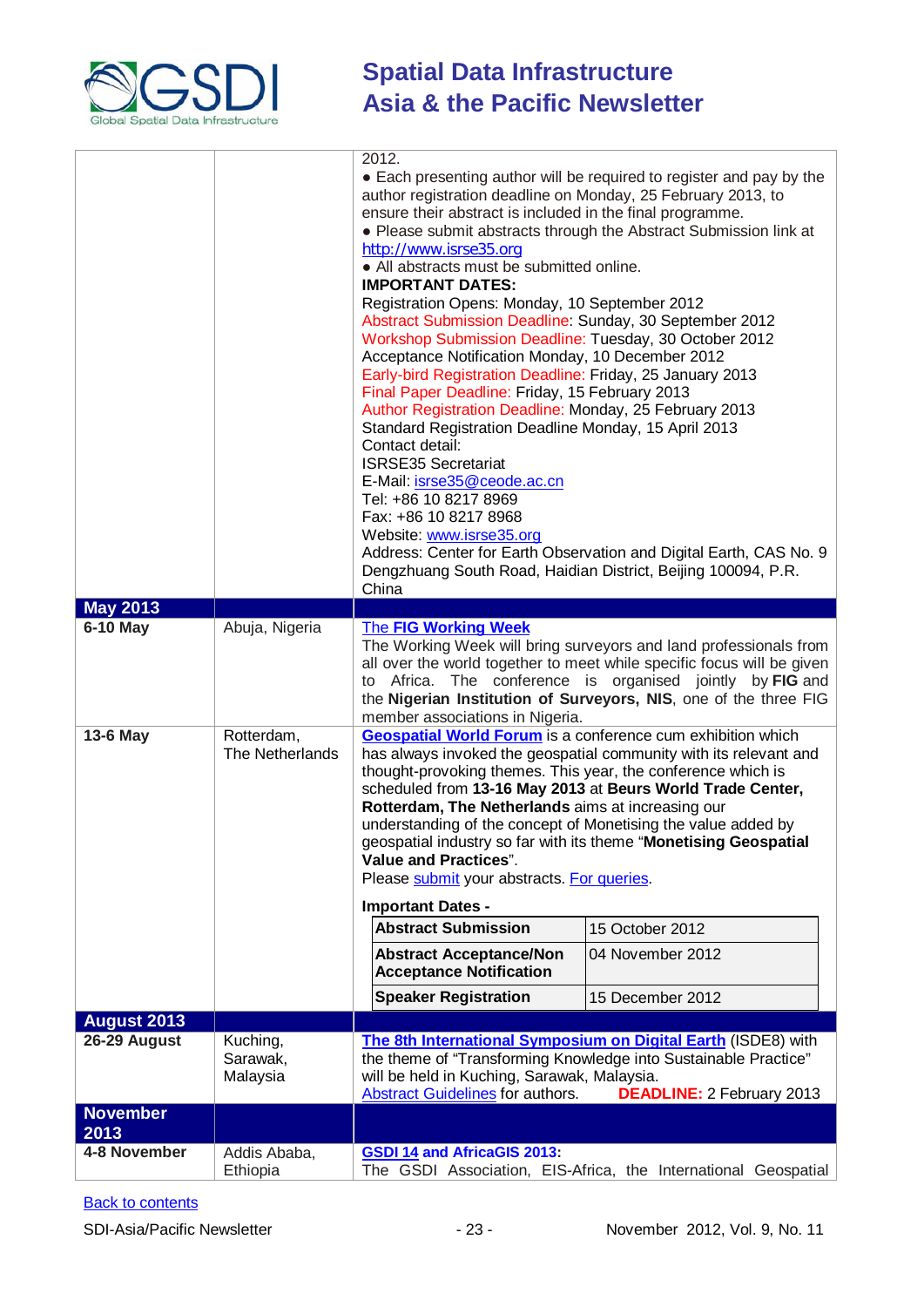

|                         |                                  | 2012.<br>author registration deadline on Monday, 25 February 2013, to<br>ensure their abstract is included in the final programme.<br>http://www.isrse35.org<br>• All abstracts must be submitted online.<br><b>IMPORTANT DATES:</b><br>Registration Opens: Monday, 10 September 2012<br>Abstract Submission Deadline: Sunday, 30 September 2012<br>Workshop Submission Deadline: Tuesday, 30 October 2012<br>Acceptance Notification Monday, 10 December 2012<br>Early-bird Registration Deadline: Friday, 25 January 2013<br>Final Paper Deadline: Friday, 15 February 2013<br>Author Registration Deadline: Monday, 25 February 2013<br>Standard Registration Deadline Monday, 15 April 2013<br>Contact detail:<br><b>ISRSE35 Secretariat</b> | • Each presenting author will be required to register and pay by the<br>• Please submit abstracts through the Abstract Submission link at                                                                                                                                 |
|-------------------------|----------------------------------|--------------------------------------------------------------------------------------------------------------------------------------------------------------------------------------------------------------------------------------------------------------------------------------------------------------------------------------------------------------------------------------------------------------------------------------------------------------------------------------------------------------------------------------------------------------------------------------------------------------------------------------------------------------------------------------------------------------------------------------------------|---------------------------------------------------------------------------------------------------------------------------------------------------------------------------------------------------------------------------------------------------------------------------|
|                         |                                  | E-Mail: isrse35@ceode.ac.cn<br>Tel: +86 10 8217 8969<br>Fax: +86 10 8217 8968<br>Website: www.isrse35.org<br>Dengzhuang South Road, Haidian District, Beijing 100094, P.R.<br>China                                                                                                                                                                                                                                                                                                                                                                                                                                                                                                                                                              | Address: Center for Earth Observation and Digital Earth, CAS No. 9                                                                                                                                                                                                        |
| <b>May 2013</b>         |                                  |                                                                                                                                                                                                                                                                                                                                                                                                                                                                                                                                                                                                                                                                                                                                                  |                                                                                                                                                                                                                                                                           |
| 6-10 May                | Abuja, Nigeria                   | <b>The FIG Working Week</b><br>to<br>member associations in Nigeria.                                                                                                                                                                                                                                                                                                                                                                                                                                                                                                                                                                                                                                                                             | The Working Week will bring surveyors and land professionals from<br>all over the world together to meet while specific focus will be given<br>Africa. The conference is organised jointly by FIG and<br>the Nigerian Institution of Surveyors, NIS, one of the three FIG |
| 13-6 May                | Rotterdam,<br>The Netherlands    | <b>Geospatial World Forum</b> is a conference cum exhibition which<br>has always invoked the geospatial community with its relevant and<br>thought-provoking themes. This year, the conference which is<br>scheduled from 13-16 May 2013 at Beurs World Trade Center,<br>Rotterdam, The Netherlands aims at increasing our<br>understanding of the concept of Monetising the value added by<br>geospatial industry so far with its theme "Monetising Geospatial<br><b>Value and Practices".</b><br>Please submit your abstracts. For queries.<br><b>Important Dates -</b>                                                                                                                                                                        |                                                                                                                                                                                                                                                                           |
|                         |                                  | <b>Abstract Submission</b>                                                                                                                                                                                                                                                                                                                                                                                                                                                                                                                                                                                                                                                                                                                       | 15 October 2012                                                                                                                                                                                                                                                           |
|                         |                                  | <b>Abstract Acceptance/Non</b><br><b>Acceptance Notification</b>                                                                                                                                                                                                                                                                                                                                                                                                                                                                                                                                                                                                                                                                                 | 04 November 2012                                                                                                                                                                                                                                                          |
|                         |                                  | <b>Speaker Registration</b>                                                                                                                                                                                                                                                                                                                                                                                                                                                                                                                                                                                                                                                                                                                      | 15 December 2012                                                                                                                                                                                                                                                          |
| <b>August 2013</b>      |                                  |                                                                                                                                                                                                                                                                                                                                                                                                                                                                                                                                                                                                                                                                                                                                                  |                                                                                                                                                                                                                                                                           |
| 26-29 August            | Kuching,<br>Sarawak,<br>Malaysia | The 8th International Symposium on Digital Earth (ISDE8) with<br>the theme of "Transforming Knowledge into Sustainable Practice"<br>will be held in Kuching, Sarawak, Malaysia.<br><b>Abstract Guidelines</b> for authors.<br><b>DEADLINE: 2 February 2013</b>                                                                                                                                                                                                                                                                                                                                                                                                                                                                                   |                                                                                                                                                                                                                                                                           |
| <b>November</b><br>2013 |                                  |                                                                                                                                                                                                                                                                                                                                                                                                                                                                                                                                                                                                                                                                                                                                                  |                                                                                                                                                                                                                                                                           |
| 4-8 November            | Addis Ababa,<br>Ethiopia         | <b>GSDI 14 and AfricaGIS 2013:</b><br>The GSDI Association, EIS-Africa, the International Geospatial                                                                                                                                                                                                                                                                                                                                                                                                                                                                                                                                                                                                                                             |                                                                                                                                                                                                                                                                           |